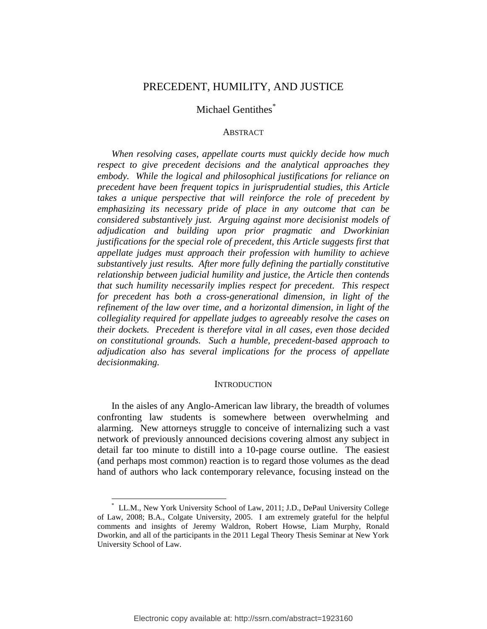## PRECEDENT, HUMILITY, AND JUSTICE

# Michael Gentithes<sup>\*</sup>

### **ABSTRACT**

*When resolving cases, appellate courts must quickly decide how much respect to give precedent decisions and the analytical approaches they embody. While the logical and philosophical justifications for reliance on precedent have been frequent topics in jurisprudential studies, this Article takes a unique perspective that will reinforce the role of precedent by emphasizing its necessary pride of place in any outcome that can be considered substantively just. Arguing against more decisionist models of adjudication and building upon prior pragmatic and Dworkinian justifications for the special role of precedent, this Article suggests first that appellate judges must approach their profession with humility to achieve substantively just results. After more fully defining the partially constitutive relationship between judicial humility and justice, the Article then contends that such humility necessarily implies respect for precedent. This respect for precedent has both a cross-generational dimension, in light of the refinement of the law over time, and a horizontal dimension, in light of the collegiality required for appellate judges to agreeably resolve the cases on their dockets. Precedent is therefore vital in all cases, even those decided on constitutional grounds. Such a humble, precedent-based approach to adjudication also has several implications for the process of appellate decisionmaking.*

## **INTRODUCTION**

In the aisles of any Anglo-American law library, the breadth of volumes confronting law students is somewhere between overwhelming and alarming. New attorneys struggle to conceive of internalizing such a vast network of previously announced decisions covering almost any subject in detail far too minute to distill into a 10-page course outline. The easiest (and perhaps most common) reaction is to regard those volumes as the dead hand of authors who lack contemporary relevance, focusing instead on the

<sup>\*</sup> LL.M., New York University School of Law, 2011; J.D., DePaul University College of Law, 2008; B.A., Colgate University, 2005. I am extremely grateful for the helpful comments and insights of Jeremy Waldron, Robert Howse, Liam Murphy, Ronald Dworkin, and all of the participants in the 2011 Legal Theory Thesis Seminar at New York University School of Law.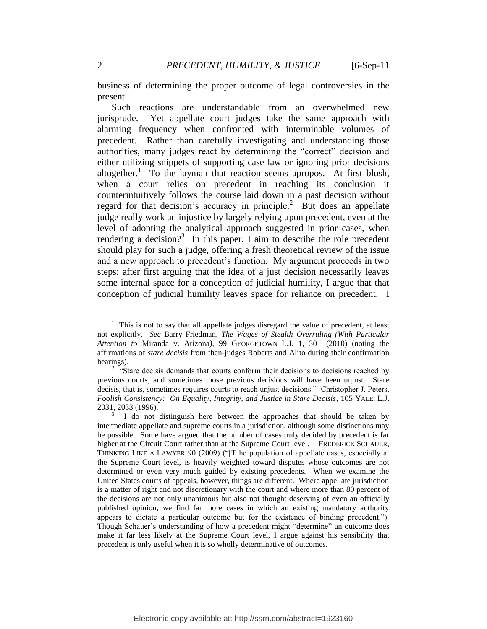business of determining the proper outcome of legal controversies in the present.

Such reactions are understandable from an overwhelmed new jurisprude. Yet appellate court judges take the same approach with alarming frequency when confronted with interminable volumes of precedent. Rather than carefully investigating and understanding those authorities, many judges react by determining the "correct" decision and either utilizing snippets of supporting case law or ignoring prior decisions altogether. 1 To the layman that reaction seems apropos. At first blush, when a court relies on precedent in reaching its conclusion it counterintuitively follows the course laid down in a past decision without regard for that decision's accuracy in principle.<sup>2</sup> But does an appellate judge really work an injustice by largely relying upon precedent, even at the level of adopting the analytical approach suggested in prior cases, when rendering a decision?<sup>3</sup> In this paper, I aim to describe the role precedent should play for such a judge, offering a fresh theoretical review of the issue and a new approach to precedent's function. My argument proceeds in two steps; after first arguing that the idea of a just decision necessarily leaves some internal space for a conception of judicial humility, I argue that that conception of judicial humility leaves space for reliance on precedent. I

<sup>1</sup> This is not to say that all appellate judges disregard the value of precedent, at least not explicitly. *See* Barry Friedman, *The Wages of Stealth Overruling (With Particular Attention to* Miranda v. Arizona*)*, 99 GEORGETOWN L.J. 1, 30 (2010) (noting the affirmations of *stare decisis* from then-judges Roberts and Alito during their confirmation hearings).

<sup>&</sup>lt;sup>2</sup> "Stare decisis demands that courts conform their decisions to decisions reached by previous courts, and sometimes those previous decisions will have been unjust. Stare decisis, that is, sometimes requires courts to reach unjust decisions." Christopher J. Peters, *Foolish Consistency: On Equality, Integrity, and Justice in Stare Decisis*, 105 YALE. L.J. 2031, 2033 (1996).

<sup>3</sup> I do not distinguish here between the approaches that should be taken by intermediate appellate and supreme courts in a jurisdiction, although some distinctions may be possible. Some have argued that the number of cases truly decided by precedent is far higher at the Circuit Court rather than at the Supreme Court level. FREDERICK SCHAUER, THINKING LIKE A LAWYER 90 (2009) ("[T]he population of appellate cases, especially at the Supreme Court level, is heavily weighted toward disputes whose outcomes are not determined or even very much guided by existing precedents. When we examine the United States courts of appeals, however, things are different. Where appellate jurisdiction is a matter of right and not discretionary with the court and where more than 80 percent of the decisions are not only unanimous but also not thought deserving of even an officially published opinion, we find far more cases in which an existing mandatory authority appears to dictate a particular outcome but for the existence of binding precedent."). Though Schauer"s understanding of how a precedent might "determine" an outcome does make it far less likely at the Supreme Court level, I argue against his sensibility that precedent is only useful when it is so wholly determinative of outcomes.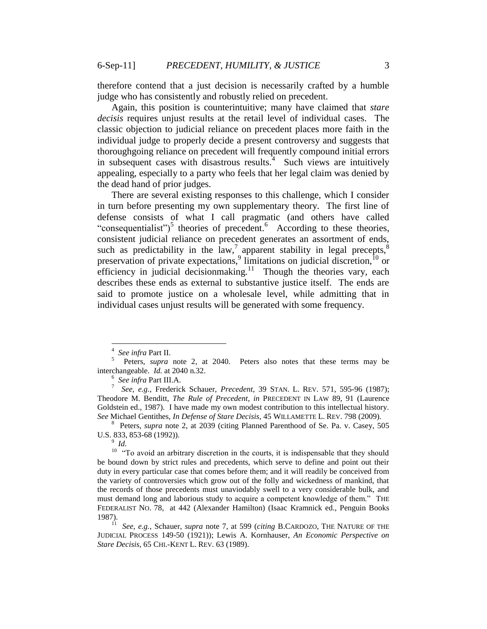therefore contend that a just decision is necessarily crafted by a humble judge who has consistently and robustly relied on precedent.

Again, this position is counterintuitive; many have claimed that *stare decisis* requires unjust results at the retail level of individual cases. The classic objection to judicial reliance on precedent places more faith in the individual judge to properly decide a present controversy and suggests that thoroughgoing reliance on precedent will frequently compound initial errors in subsequent cases with disastrous results. $4$  Such views are intuitively appealing, especially to a party who feels that her legal claim was denied by the dead hand of prior judges.

There are several existing responses to this challenge, which I consider in turn before presenting my own supplementary theory. The first line of defense consists of what I call pragmatic (and others have called "consequentialist")<sup>5</sup> theories of precedent.<sup>6</sup> According to these theories, consistent judicial reliance on precedent generates an assortment of ends, such as predictability in the  $\text{law}^7$ , apparent stability in legal precepts,  $\text{sign}$ preservation of private expectations,  $\frac{1}{2}$  limitations on judicial discretion,  $\frac{1}{2}$  or efficiency in judicial decision making.<sup>11</sup> Though the theories vary, each describes these ends as external to substantive justice itself. The ends are said to promote justice on a wholesale level, while admitting that in individual cases unjust results will be generated with some frequency.

<sup>4</sup> *See infra* Part II.

<sup>5</sup> Peters, *supra* note 2, at 2040. Peters also notes that these terms may be interchangeable. *Id.* at 2040 n.32.

<sup>6</sup> *See infra* Part III.A.

<sup>7</sup> *See, e.g.*, Frederick Schauer, *Precedent*, 39 STAN. L. REV. 571, 595-96 (1987); Theodore M. Benditt, *The Rule of Precedent*, *in* PRECEDENT IN LAW 89, 91 (Laurence Goldstein ed., 1987). I have made my own modest contribution to this intellectual history. *See* Michael Gentithes, *In Defense of Stare Decisis*, 45 WILLAMETTE L. REV. 798 (2009).

<sup>8</sup> Peters, *supra* note 2, at 2039 (citing Planned Parenthood of Se. Pa. v. Casey, 505 U.S. 833, 853-68 (1992)).

<sup>9</sup> *Id.*

 $10$  "To avoid an arbitrary discretion in the courts, it is indispensable that they should be bound down by strict rules and precedents, which serve to define and point out their duty in every particular case that comes before them; and it will readily be conceived from the variety of controversies which grow out of the folly and wickedness of mankind, that the records of those precedents must unaviodably swell to a very considerable bulk, and must demand long and laborious study to acquire a competent knowledge of them." THE FEDERALIST NO. 78, at 442 (Alexander Hamilton) (Isaac Kramnick ed., Penguin Books 1987).

<sup>11</sup> *See, e.g.*, Schauer, *supra* note 7, at 599 (*citing* B.CARDOZO, THE NATURE OF THE JUDICIAL PROCESS 149-50 (1921)); Lewis A. Kornhauser, *An Economic Perspective on Stare Decisis*, 65 CHI.-KENT L. REV. 63 (1989).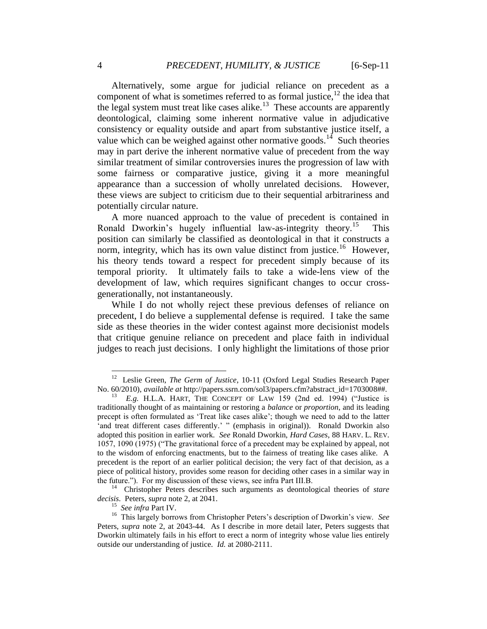Alternatively, some argue for judicial reliance on precedent as a component of what is sometimes referred to as formal justice,  $^{12}$  the idea that the legal system must treat like cases alike.<sup>13</sup> These accounts are apparently deontological, claiming some inherent normative value in adjudicative consistency or equality outside and apart from substantive justice itself, a value which can be weighed against other normative goods.<sup>14</sup> Such theories may in part derive the inherent normative value of precedent from the way similar treatment of similar controversies inures the progression of law with some fairness or comparative justice, giving it a more meaningful appearance than a succession of wholly unrelated decisions. However, these views are subject to criticism due to their sequential arbitrariness and potentially circular nature.

A more nuanced approach to the value of precedent is contained in Ronald Dworkin's hugely influential law-as-integrity theory.<sup>15</sup> This position can similarly be classified as deontological in that it constructs a norm, integrity, which has its own value distinct from justice.<sup>16</sup> However, his theory tends toward a respect for precedent simply because of its temporal priority. It ultimately fails to take a wide-lens view of the development of law, which requires significant changes to occur crossgenerationally, not instantaneously.

While I do not wholly reject these previous defenses of reliance on precedent, I do believe a supplemental defense is required. I take the same side as these theories in the wider contest against more decisionist models that critique genuine reliance on precedent and place faith in individual judges to reach just decisions. I only highlight the limitations of those prior

<sup>&</sup>lt;sup>12</sup> Leslie Green, *The Germ of Justice*, 10-11 (Oxford Legal Studies Research Paper No. 60/2010), *available at* http://papers.ssrn.com/sol3/papers.cfm?abstract\_id=1703008##.

<sup>&</sup>lt;sup>13</sup> *E.g.* H.L.A. HART, THE CONCEPT OF LAW 159 (2nd ed. 1994) ("Justice is traditionally thought of as maintaining or restoring a *balance* or *proportion*, and its leading precept is often formulated as "Treat like cases alike"; though we need to add to the latter 'and treat different cases differently.' " (emphasis in original)). Ronald Dworkin also adopted this position in earlier work. *See* Ronald Dworkin, *Hard Cases*, 88 HARV. L. REV. 1057, 1090 (1975) ("The gravitational force of a precedent may be explained by appeal, not to the wisdom of enforcing enactments, but to the fairness of treating like cases alike. A precedent is the report of an earlier political decision; the very fact of that decision, as a piece of political history, provides some reason for deciding other cases in a similar way in the future."). For my discussion of these views, see infra Part III.B.

<sup>&</sup>lt;sup>14</sup> Christopher Peters describes such arguments as deontological theories of *stare decisis*. Peters, *supra* note 2, at 2041.

<sup>15</sup> *See infra* Part IV.

<sup>&</sup>lt;sup>16</sup> This largely borrows from Christopher Peters's description of Dworkin's view. See Peters, *supra* note 2, at 2043-44. As I describe in more detail later, Peters suggests that Dworkin ultimately fails in his effort to erect a norm of integrity whose value lies entirely outside our understanding of justice. *Id.* at 2080-2111.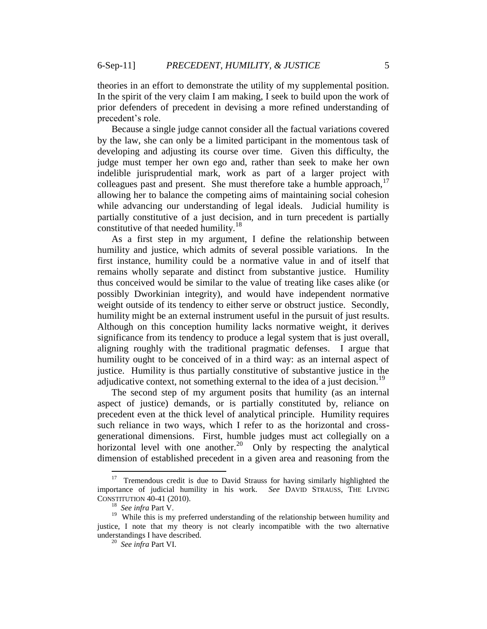theories in an effort to demonstrate the utility of my supplemental position. In the spirit of the very claim I am making, I seek to build upon the work of prior defenders of precedent in devising a more refined understanding of precedent's role.

Because a single judge cannot consider all the factual variations covered by the law, she can only be a limited participant in the momentous task of developing and adjusting its course over time. Given this difficulty, the judge must temper her own ego and, rather than seek to make her own indelible jurisprudential mark, work as part of a larger project with colleagues past and present. She must therefore take a humble approach,  $17$ allowing her to balance the competing aims of maintaining social cohesion while advancing our understanding of legal ideals. Judicial humility is partially constitutive of a just decision, and in turn precedent is partially constitutive of that needed humility.<sup>18</sup>

As a first step in my argument, I define the relationship between humility and justice, which admits of several possible variations. In the first instance, humility could be a normative value in and of itself that remains wholly separate and distinct from substantive justice. Humility thus conceived would be similar to the value of treating like cases alike (or possibly Dworkinian integrity), and would have independent normative weight outside of its tendency to either serve or obstruct justice. Secondly, humility might be an external instrument useful in the pursuit of just results. Although on this conception humility lacks normative weight, it derives significance from its tendency to produce a legal system that is just overall, aligning roughly with the traditional pragmatic defenses. I argue that humility ought to be conceived of in a third way: as an internal aspect of justice. Humility is thus partially constitutive of substantive justice in the adjudicative context, not something external to the idea of a just decision.<sup>19</sup>

The second step of my argument posits that humility (as an internal aspect of justice) demands, or is partially constituted by, reliance on precedent even at the thick level of analytical principle. Humility requires such reliance in two ways, which I refer to as the horizontal and crossgenerational dimensions. First, humble judges must act collegially on a horizontal level with one another.<sup>20</sup> Only by respecting the analytical dimension of established precedent in a given area and reasoning from the

<sup>&</sup>lt;sup>17</sup> Tremendous credit is due to David Strauss for having similarly highlighted the importance of judicial humility in his work. *See* DAVID STRAUSS, THE LIVING CONSTITUTION 40-41 (2010).

<sup>18</sup> *See infra* Part V.

<sup>&</sup>lt;sup>19</sup> While this is my preferred understanding of the relationship between humility and justice, I note that my theory is not clearly incompatible with the two alternative understandings I have described.

<sup>20</sup> *See infra* Part VI.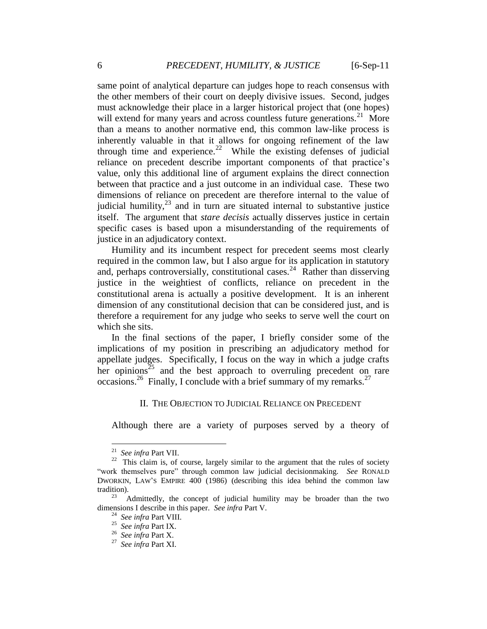same point of analytical departure can judges hope to reach consensus with the other members of their court on deeply divisive issues. Second, judges must acknowledge their place in a larger historical project that (one hopes) will extend for many years and across countless future generations.<sup>21</sup> More than a means to another normative end, this common law-like process is inherently valuable in that it allows for ongoing refinement of the law through time and experience.<sup>22</sup> While the existing defenses of judicial reliance on precedent describe important components of that practice's value, only this additional line of argument explains the direct connection between that practice and a just outcome in an individual case. These two dimensions of reliance on precedent are therefore internal to the value of judicial humility,  $23$  and in turn are situated internal to substantive justice itself. The argument that *stare decisis* actually disserves justice in certain specific cases is based upon a misunderstanding of the requirements of justice in an adjudicatory context.

Humility and its incumbent respect for precedent seems most clearly required in the common law, but I also argue for its application in statutory and, perhaps controversially, constitutional cases.<sup>24</sup> Rather than disserving justice in the weightiest of conflicts, reliance on precedent in the constitutional arena is actually a positive development. It is an inherent dimension of any constitutional decision that can be considered just, and is therefore a requirement for any judge who seeks to serve well the court on which she sits.

In the final sections of the paper, I briefly consider some of the implications of my position in prescribing an adjudicatory method for appellate judges. Specifically, I focus on the way in which a judge crafts her opinions<sup>25</sup> and the best approach to overruling precedent on rare occasions.<sup>26</sup> Finally, I conclude with a brief summary of my remarks.<sup>27</sup>

### II. THE OBJECTION TO JUDICIAL RELIANCE ON PRECEDENT

Although there are a variety of purposes served by a theory of

<sup>21</sup> *See infra* Part VII.

 $22$  This claim is, of course, largely similar to the argument that the rules of society "work themselves pure" through common law judicial decisionmaking. *See* RONALD DWORKIN, LAW"S EMPIRE 400 (1986) (describing this idea behind the common law tradition).

 $^{23}$  Admittedly, the concept of judicial humility may be broader than the two dimensions I describe in this paper. *See infra* Part V.

<sup>24</sup> *See infra* Part VIII.

<sup>25</sup> *See infra* Part IX.

<sup>26</sup> *See infra* Part X.

<sup>27</sup> *See infra* Part XI.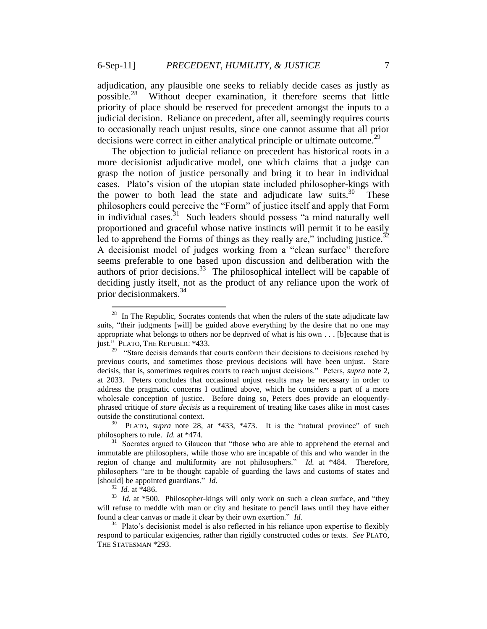adjudication, any plausible one seeks to reliably decide cases as justly as possible.<sup>28</sup> Without deeper examination, it therefore seems that little priority of place should be reserved for precedent amongst the inputs to a judicial decision. Reliance on precedent, after all, seemingly requires courts to occasionally reach unjust results, since one cannot assume that all prior decisions were correct in either analytical principle or ultimate outcome.<sup>29</sup>

The objection to judicial reliance on precedent has historical roots in a more decisionist adjudicative model, one which claims that a judge can grasp the notion of justice personally and bring it to bear in individual cases. Plato"s vision of the utopian state included philosopher-kings with the power to both lead the state and adjudicate law suits. $30\degree$  These philosophers could perceive the "Form" of justice itself and apply that Form in individual cases.<sup>31</sup> Such leaders should possess "a mind naturally well proportioned and graceful whose native instincts will permit it to be easily led to apprehend the Forms of things as they really are," including justice. $32$ A decisionist model of judges working from a "clean surface" therefore seems preferable to one based upon discussion and deliberation with the authors of prior decisions.<sup>33</sup> The philosophical intellect will be capable of deciding justly itself, not as the product of any reliance upon the work of prior decisionmakers.<sup>34</sup>

<sup>&</sup>lt;sup>28</sup> In The Republic, Socrates contends that when the rulers of the state adjudicate law suits, "their judgments [will] be guided above everything by the desire that no one may appropriate what belongs to others nor be deprived of what is his own . . . [b]ecause that is just." PLATO, THE REPUBLIC \*433. 29 "Stare decisis demands that courts conform their decisions to decisions reached by

previous courts, and sometimes those previous decisions will have been unjust. Stare decisis, that is, sometimes requires courts to reach unjust decisions." Peters, *supra* note 2, at 2033. Peters concludes that occasional unjust results may be necessary in order to address the pragmatic concerns I outlined above, which he considers a part of a more wholesale conception of justice. Before doing so, Peters does provide an eloquentlyphrased critique of *stare decisis* as a requirement of treating like cases alike in most cases outside the constitutional context.

<sup>30</sup> PLATO, *supra* note 28, at \*433, \*473. It is the "natural province" of such philosophers to rule. *Id.* at \*474.

<sup>&</sup>lt;sup>31</sup> Socrates argued to Glaucon that "those who are able to apprehend the eternal and immutable are philosophers, while those who are incapable of this and who wander in the region of change and multiformity are not philosophers." *Id.* at \*484. Therefore, philosophers "are to be thought capable of guarding the laws and customs of states and [should] be appointed guardians." *Id.*

<sup>32</sup> *Id.* at \*486.

<sup>&</sup>lt;sup>33</sup> *Id.* at \*500. Philosopher-kings will only work on such a clean surface, and "they will refuse to meddle with man or city and hesitate to pencil laws until they have either found a clear canvas or made it clear by their own exertion." *Id.*

<sup>&</sup>lt;sup>34</sup> Plato's decisionist model is also reflected in his reliance upon expertise to flexibly respond to particular exigencies, rather than rigidly constructed codes or texts. *See* PLATO, THE STATESMAN \*293.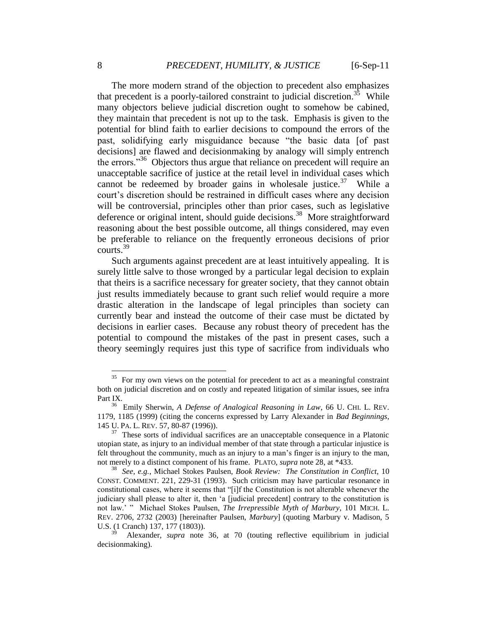The more modern strand of the objection to precedent also emphasizes that precedent is a poorly-tailored constraint to judicial discretion.<sup>35</sup> While many objectors believe judicial discretion ought to somehow be cabined, they maintain that precedent is not up to the task. Emphasis is given to the potential for blind faith to earlier decisions to compound the errors of the past, solidifying early misguidance because "the basic data [of past decisions] are flawed and decisionmaking by analogy will simply entrench the errors."<sup>36</sup> Objectors thus argue that reliance on precedent will require an unacceptable sacrifice of justice at the retail level in individual cases which cannot be redeemed by broader gains in wholesale justice. $37$  While a court"s discretion should be restrained in difficult cases where any decision will be controversial, principles other than prior cases, such as legislative deference or original intent, should guide decisions.<sup>38</sup> More straightforward reasoning about the best possible outcome, all things considered, may even be preferable to reliance on the frequently erroneous decisions of prior courts.<sup>39</sup>

Such arguments against precedent are at least intuitively appealing. It is surely little salve to those wronged by a particular legal decision to explain that theirs is a sacrifice necessary for greater society, that they cannot obtain just results immediately because to grant such relief would require a more drastic alteration in the landscape of legal principles than society can currently bear and instead the outcome of their case must be dictated by decisions in earlier cases. Because any robust theory of precedent has the potential to compound the mistakes of the past in present cases, such a theory seemingly requires just this type of sacrifice from individuals who

 $35$  For my own views on the potential for precedent to act as a meaningful constraint both on judicial discretion and on costly and repeated litigation of similar issues, see infra Part IX.

<sup>36</sup> Emily Sherwin, *A Defense of Analogical Reasoning in Law*, 66 U. CHI. L. REV. 1179, 1185 (1999) (citing the concerns expressed by Larry Alexander in *Bad Beginnings*, 145 U. PA. L. REV. 57, 80-87 (1996)).

 $37$  These sorts of individual sacrifices are an unacceptable consequence in a Platonic utopian state, as injury to an individual member of that state through a particular injustice is felt throughout the community, much as an injury to a man"s finger is an injury to the man, not merely to a distinct component of his frame. PLATO, *supra* note 28, at \*433.

<sup>38</sup> *See, e.g.*, Michael Stokes Paulsen, *Book Review: The Constitution in Conflict*, 10 CONST. COMMENT. 221, 229-31 (1993). Such criticism may have particular resonance in constitutional cases, where it seems that "[i]f the Constitution is not alterable whenever the judiciary shall please to alter it, then "a [judicial precedent] contrary to the constitution is not law." " Michael Stokes Paulsen, *The Irrepressible Myth of Marbury*, 101 MICH. L. REV. 2706, 2732 (2003) [hereinafter Paulsen, *Marbury*] (quoting Marbury v. Madison, 5 U.S. (1 Cranch) 137, 177 (1803)).

<sup>39</sup> Alexander, *supra* note 36, at 70 (touting reflective equilibrium in judicial decisionmaking).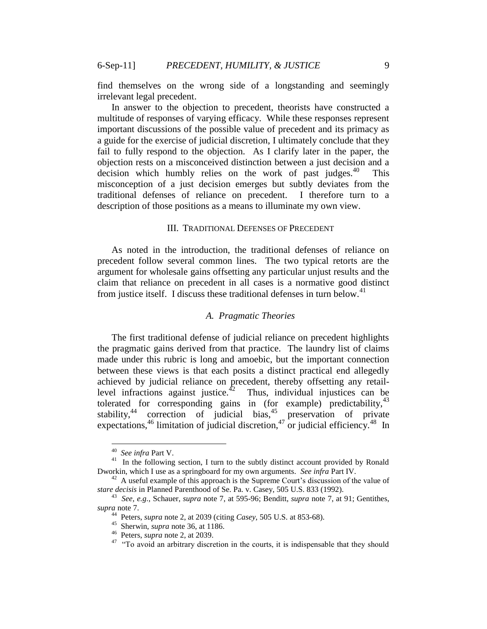find themselves on the wrong side of a longstanding and seemingly irrelevant legal precedent.

In answer to the objection to precedent, theorists have constructed a multitude of responses of varying efficacy. While these responses represent important discussions of the possible value of precedent and its primacy as a guide for the exercise of judicial discretion, I ultimately conclude that they fail to fully respond to the objection. As I clarify later in the paper, the objection rests on a misconceived distinction between a just decision and a decision which humbly relies on the work of past judges.<sup>40</sup> This misconception of a just decision emerges but subtly deviates from the traditional defenses of reliance on precedent. I therefore turn to a description of those positions as a means to illuminate my own view.

#### III. TRADITIONAL DEFENSES OF PRECEDENT

As noted in the introduction, the traditional defenses of reliance on precedent follow several common lines. The two typical retorts are the argument for wholesale gains offsetting any particular unjust results and the claim that reliance on precedent in all cases is a normative good distinct from justice itself. I discuss these traditional defenses in turn below.<sup>41</sup>

### *A. Pragmatic Theories*

The first traditional defense of judicial reliance on precedent highlights the pragmatic gains derived from that practice. The laundry list of claims made under this rubric is long and amoebic, but the important connection between these views is that each posits a distinct practical end allegedly achieved by judicial reliance on precedent, thereby offsetting any retaillevel infractions against justice.<sup> $42$ </sup> Thus, individual injustices can be tolerated for corresponding gains in (for example) predictability,  $43$ stability, $44$  correction of judicial bias, $45$  preservation of private expectations,  $46$  limitation of judicial discretion,  $47$  or judicial efficiency.  $48$  In

<sup>40</sup> *See infra* Part V.

<sup>&</sup>lt;sup>41</sup> In the following section, I turn to the subtly distinct account provided by Ronald Dworkin, which I use as a springboard for my own arguments. *See infra* Part IV.

<sup>&</sup>lt;sup>42</sup> A useful example of this approach is the Supreme Court's discussion of the value of *stare decisis* in Planned Parenthood of Se. Pa. v. Casey, 505 U.S. 833 (1992).

<sup>43</sup> *See, e.g.*, Schauer, *supra* note 7, at 595-96; Benditt, *supra* note 7, at 91; Gentithes, *supra* note 7. 44 Peters, *supra* note 2, at 2039 (citing *Casey*, 505 U.S. at 853-68). 45 Sherwin, *supra* note 36, at 1186.

<sup>46</sup> Peters, *supra* note 2, at 2039.

<sup>&</sup>lt;sup>47</sup> "To avoid an arbitrary discretion in the courts, it is indispensable that they should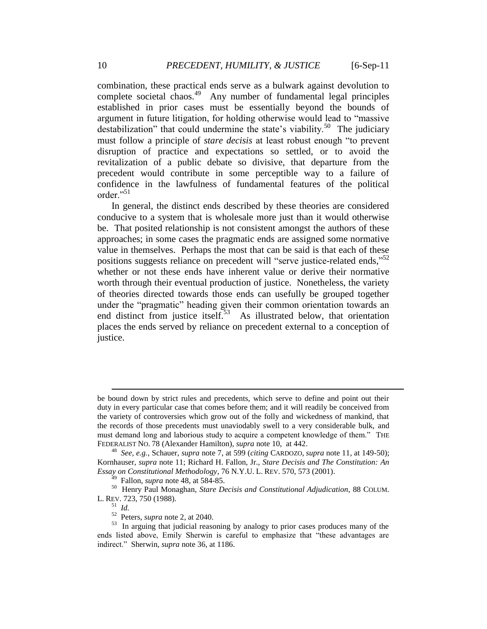combination, these practical ends serve as a bulwark against devolution to complete societal chaos.<sup>49</sup> Any number of fundamental legal principles established in prior cases must be essentially beyond the bounds of argument in future litigation, for holding otherwise would lead to "massive destabilization" that could undermine the state's viability.<sup>50</sup> The judiciary must follow a principle of *stare decisis* at least robust enough "to prevent disruption of practice and expectations so settled, or to avoid the revitalization of a public debate so divisive, that departure from the precedent would contribute in some perceptible way to a failure of confidence in the lawfulness of fundamental features of the political order<sup>"51</sup>

In general, the distinct ends described by these theories are considered conducive to a system that is wholesale more just than it would otherwise be. That posited relationship is not consistent amongst the authors of these approaches; in some cases the pragmatic ends are assigned some normative value in themselves. Perhaps the most that can be said is that each of these positions suggests reliance on precedent will "serve justice-related ends,"<sup>52</sup> whether or not these ends have inherent value or derive their normative worth through their eventual production of justice. Nonetheless, the variety of theories directed towards those ends can usefully be grouped together under the "pragmatic" heading given their common orientation towards an end distinct from justice itself. $53$  As illustrated below, that orientation places the ends served by reliance on precedent external to a conception of justice.

be bound down by strict rules and precedents, which serve to define and point out their duty in every particular case that comes before them; and it will readily be conceived from the variety of controversies which grow out of the folly and wickedness of mankind, that the records of those precedents must unaviodably swell to a very considerable bulk, and must demand long and laborious study to acquire a competent knowledge of them." THE FEDERALIST NO. 78 (Alexander Hamilton), *supra* note 10, at 442.

<sup>48</sup> *See, e.g.*, Schauer, *supra* note 7, at 599 (*citing* CARDOZO, *supra* note 11, at 149-50); Kornhauser, *supra* note 11; Richard H. Fallon, Jr., *Stare Decisis and The Constitution: An Essay on Constitutional Methodology*, 76 N.Y.U. L. REV. 570, 573 (2001).

<sup>49</sup> Fallon, *supra* note 48, at 584-85.

<sup>50</sup> Henry Paul Monaghan, *Stare Decisis and Constitutional Adjudication*, 88 COLUM. L. REV. 723, 750 (1988).

<sup>51</sup> *Id.*

<sup>52</sup> Peters, *supra* note 2, at 2040.

<sup>&</sup>lt;sup>53</sup> In arguing that judicial reasoning by analogy to prior cases produces many of the ends listed above, Emily Sherwin is careful to emphasize that "these advantages are indirect." Sherwin, *supra* note 36, at 1186.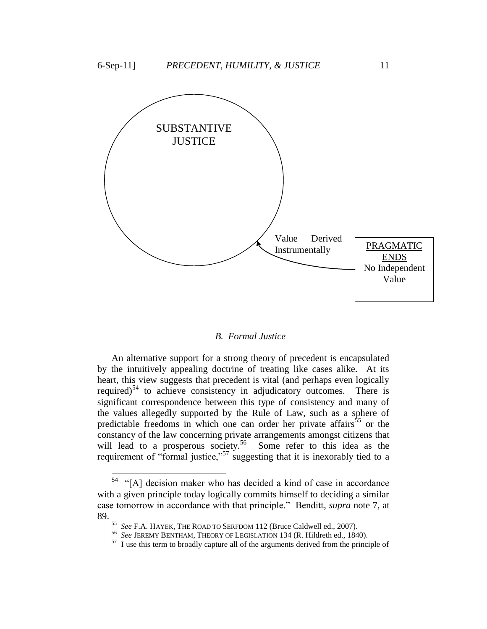

# *B. Formal Justice*

An alternative support for a strong theory of precedent is encapsulated by the intuitively appealing doctrine of treating like cases alike. At its heart, this view suggests that precedent is vital (and perhaps even logically required)<sup>54</sup> to achieve consistency in adjudicatory outcomes. There is significant correspondence between this type of consistency and many of the values allegedly supported by the Rule of Law, such as a sphere of predictable freedoms in which one can order her private affairs  $55$  or the constancy of the law concerning private arrangements amongst citizens that will lead to a prosperous society.<sup>56</sup> Some refer to this idea as the requirement of "formal justice,"<sup>57</sup> suggesting that it is inexorably tied to a

 54 "[A] decision maker who has decided a kind of case in accordance with a given principle today logically commits himself to deciding a similar case tomorrow in accordance with that principle." Benditt, *supra* note 7, at 89.

<sup>55</sup> *See* F.A. HAYEK, THE ROAD TO SERFDOM 112 (Bruce Caldwell ed., 2007).

<sup>56</sup> *See* JEREMY BENTHAM, THEORY OF LEGISLATION 134 (R. Hildreth ed., 1840).

 $57$  I use this term to broadly capture all of the arguments derived from the principle of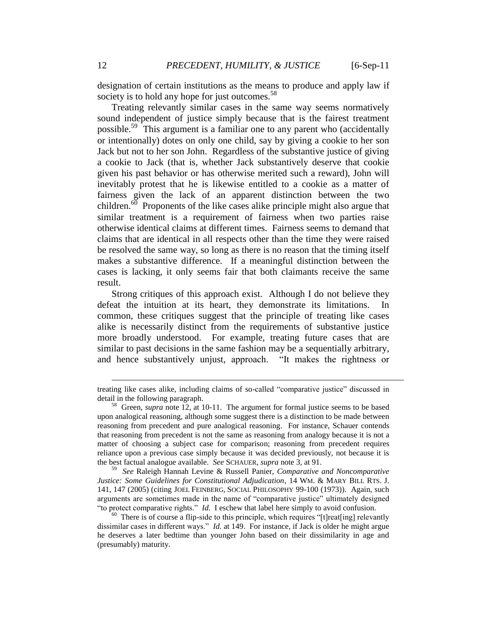designation of certain institutions as the means to produce and apply law if society is to hold any hope for just outcomes.<sup>58</sup>

Treating relevantly similar cases in the same way seems normatively sound independent of justice simply because that is the fairest treatment possible.<sup>59</sup> This argument is a familiar one to any parent who (accidentally or intentionally) dotes on only one child, say by giving a cookie to her son Jack but not to her son John. Regardless of the substantive justice of giving a cookie to Jack (that is, whether Jack substantively deserve that cookie given his past behavior or has otherwise merited such a reward), John will inevitably protest that he is likewise entitled to a cookie as a matter of fairness given the lack of an apparent distinction between the two children.<sup>60</sup> Proponents of the like cases alike principle might also argue that similar treatment is a requirement of fairness when two parties raise otherwise identical claims at different times. Fairness seems to demand that claims that are identical in all respects other than the time they were raised be resolved the same way, so long as there is no reason that the timing itself makes a substantive difference. If a meaningful distinction between the cases is lacking, it only seems fair that both claimants receive the same result.

Strong critiques of this approach exist. Although I do not believe they defeat the intuition at its heart, they demonstrate its limitations. In common, these critiques suggest that the principle of treating like cases alike is necessarily distinct from the requirements of substantive justice more broadly understood. For example, treating future cases that are similar to past decisions in the same fashion may be a sequentially arbitrary, and hence substantively unjust, approach. "It makes the rightness or

59 *See* Raleigh Hannah Levine & Russell Panier, *Comparative and Noncomparative Justice: Some Guidelines for Constitutional Adjudication*, 14 WM. & MARY BILL RTS. J. 141, 147 (2005) (citing JOEL FEINBERG, SOCIAL PHILOSOPHY 99-100 (1973)). Again, such arguments are sometimes made in the name of "comparative justice" ultimately designed "to protect comparative rights." *Id.* I eschew that label here simply to avoid confusion.

treating like cases alike, including claims of so-called "comparative justice" discussed in detail in the following paragraph.

<sup>&</sup>lt;sup>58</sup> Green, *supra* note 12, at 10-11. The argument for formal justice seems to be based upon analogical reasoning, although some suggest there is a distinction to be made between reasoning from precedent and pure analogical reasoning. For instance, Schauer contends that reasoning from precedent is not the same as reasoning from analogy because it is not a matter of choosing a subject case for comparison; reasoning from precedent requires reliance upon a previous case simply because it was decided previously, not because it is the best factual analogue available. *See* SCHAUER, *supra* note 3, at 91.

<sup>&</sup>lt;sup>60</sup> There is of course a flip-side to this principle, which requires "[t]reat[ing] relevantly dissimilar cases in different ways." *Id.* at 149. For instance, if Jack is older he might argue he deserves a later bedtime than younger John based on their dissimilarity in age and (presumably) maturity.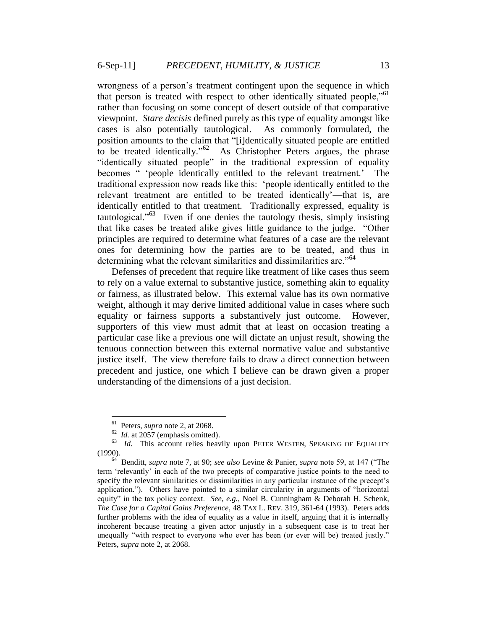wrongness of a person"s treatment contingent upon the sequence in which that person is treated with respect to other identically situated people,"<sup>61</sup> rather than focusing on some concept of desert outside of that comparative viewpoint. *Stare decisis* defined purely as this type of equality amongst like cases is also potentially tautological. As commonly formulated, the position amounts to the claim that "[i]dentically situated people are entitled to be treated identically."<sup>62</sup> As Christopher Peters argues, the phrase "identically situated people" in the traditional expression of equality becomes " "people identically entitled to the relevant treatment." The traditional expression now reads like this: "people identically entitled to the relevant treatment are entitled to be treated identically"—that is, are identically entitled to that treatment. Traditionally expressed, equality is tautological."<sup>63</sup> Even if one denies the tautology thesis, simply insisting that like cases be treated alike gives little guidance to the judge. "Other principles are required to determine what features of a case are the relevant ones for determining how the parties are to be treated, and thus in determining what the relevant similarities and dissimilarities are.<sup>"64</sup>

Defenses of precedent that require like treatment of like cases thus seem to rely on a value external to substantive justice, something akin to equality or fairness, as illustrated below. This external value has its own normative weight, although it may derive limited additional value in cases where such equality or fairness supports a substantively just outcome. However, supporters of this view must admit that at least on occasion treating a particular case like a previous one will dictate an unjust result, showing the tenuous connection between this external normative value and substantive justice itself. The view therefore fails to draw a direct connection between precedent and justice, one which I believe can be drawn given a proper understanding of the dimensions of a just decision.

<sup>61</sup> Peters, *supra* note 2, at 2068.

 $62$  *Id.* at 2057 (emphasis omitted).

<sup>&</sup>lt;sup>63</sup> *Id.* This account relies heavily upon PETER WESTEN, SPEAKING OF EQUALITY (1990).

<sup>64</sup> Benditt, *supra* note 7, at 90; *see also* Levine & Panier, *supra* note 59, at 147 ("The term "relevantly" in each of the two precepts of comparative justice points to the need to specify the relevant similarities or dissimilarities in any particular instance of the precept's application."). Others have pointed to a similar circularity in arguments of "horizontal equity" in the tax policy context. *See, e.g.*, Noel B. Cunningham & Deborah H. Schenk, *The Case for a Capital Gains Preference*, 48 TAX L. REV. 319, 361-64 (1993). Peters adds further problems with the idea of equality as a value in itself, arguing that it is internally incoherent because treating a given actor unjustly in a subsequent case is to treat her unequally "with respect to everyone who ever has been (or ever will be) treated justly." Peters, *supra* note 2, at 2068.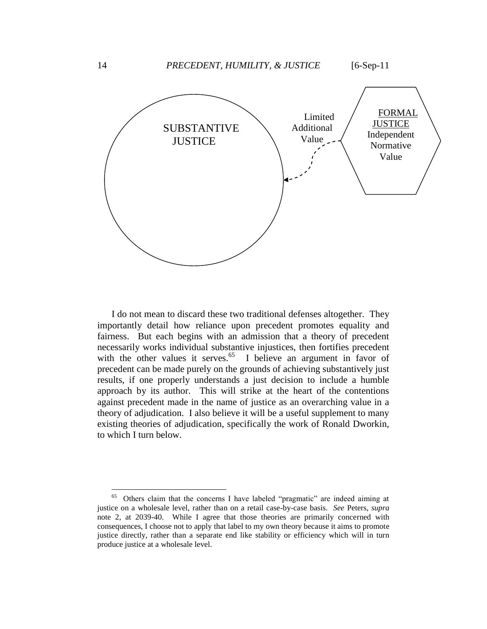

I do not mean to discard these two traditional defenses altogether. They importantly detail how reliance upon precedent promotes equality and fairness. But each begins with an admission that a theory of precedent necessarily works individual substantive injustices, then fortifies precedent with the other values it serves.<sup>65</sup> I believe an argument in favor of precedent can be made purely on the grounds of achieving substantively just results, if one properly understands a just decision to include a humble approach by its author. This will strike at the heart of the contentions against precedent made in the name of justice as an overarching value in a theory of adjudication. I also believe it will be a useful supplement to many existing theories of adjudication, specifically the work of Ronald Dworkin, to which I turn below.

 65 Others claim that the concerns I have labeled "pragmatic" are indeed aiming at justice on a wholesale level, rather than on a retail case-by-case basis. *See* Peters, *supra* note 2, at 2039-40. While I agree that those theories are primarily concerned with consequences, I choose not to apply that label to my own theory because it aims to promote justice directly, rather than a separate end like stability or efficiency which will in turn produce justice at a wholesale level.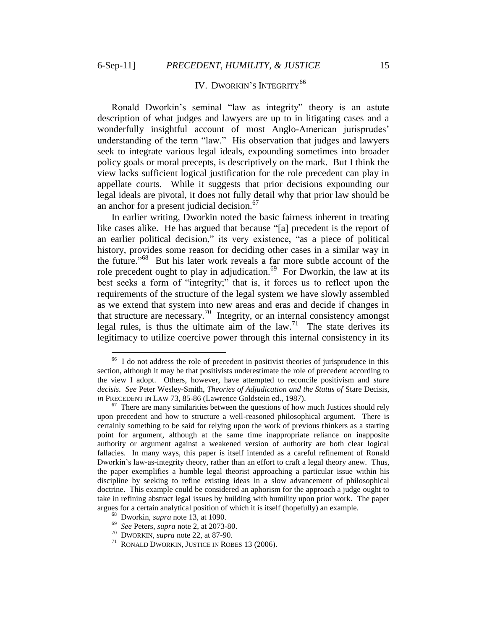$\overline{a}$ 

# IV. DWORKIN'S INTEGRITY<sup>66</sup>

Ronald Dworkin"s seminal "law as integrity" theory is an astute description of what judges and lawyers are up to in litigating cases and a wonderfully insightful account of most Anglo-American jurisprudes' understanding of the term "law." His observation that judges and lawyers seek to integrate various legal ideals, expounding sometimes into broader policy goals or moral precepts, is descriptively on the mark. But I think the view lacks sufficient logical justification for the role precedent can play in appellate courts. While it suggests that prior decisions expounding our legal ideals are pivotal, it does not fully detail why that prior law should be an anchor for a present judicial decision.<sup>67</sup>

In earlier writing, Dworkin noted the basic fairness inherent in treating like cases alike. He has argued that because "[a] precedent is the report of an earlier political decision," its very existence, "as a piece of political history, provides some reason for deciding other cases in a similar way in the future." 68 But his later work reveals a far more subtle account of the role precedent ought to play in adjudication.<sup>69</sup> For Dworkin, the law at its best seeks a form of "integrity;" that is, it forces us to reflect upon the requirements of the structure of the legal system we have slowly assembled as we extend that system into new areas and eras and decide if changes in that structure are necessary.<sup>70</sup> Integrity, or an internal consistency amongst legal rules, is thus the ultimate aim of the  $law$ .<sup>71</sup> The state derives its legitimacy to utilize coercive power through this internal consistency in its

<sup>&</sup>lt;sup>66</sup> I do not address the role of precedent in positivist theories of jurisprudence in this section, although it may be that positivists underestimate the role of precedent according to the view I adopt. Others, however, have attempted to reconcile positivism and *stare decisis*. *See* Peter Wesley-Smith, *Theories of Adjudication and the Status of* Stare Decisis, *in* PRECEDENT IN LAW 73, 85-86 (Lawrence Goldstein ed., 1987).

 $67$  There are many similarities between the questions of how much Justices should rely upon precedent and how to structure a well-reasoned philosophical argument. There is certainly something to be said for relying upon the work of previous thinkers as a starting point for argument, although at the same time inappropriate reliance on inapposite authority or argument against a weakened version of authority are both clear logical fallacies. In many ways, this paper is itself intended as a careful refinement of Ronald Dworkin"s law-as-integrity theory, rather than an effort to craft a legal theory anew. Thus, the paper exemplifies a humble legal theorist approaching a particular issue within his discipline by seeking to refine existing ideas in a slow advancement of philosophical doctrine. This example could be considered an aphorism for the approach a judge ought to take in refining abstract legal issues by building with humility upon prior work. The paper argues for a certain analytical position of which it is itself (hopefully) an example.

<sup>68</sup> Dworkin, *supra* note 13, at 1090.

<sup>69</sup> *See* Peters, *supra* note 2, at 2073-80.

<sup>70</sup> DWORKIN, *supra* note 22, at 87-90.

<sup>71</sup> RONALD DWORKIN, JUSTICE IN ROBES 13 (2006).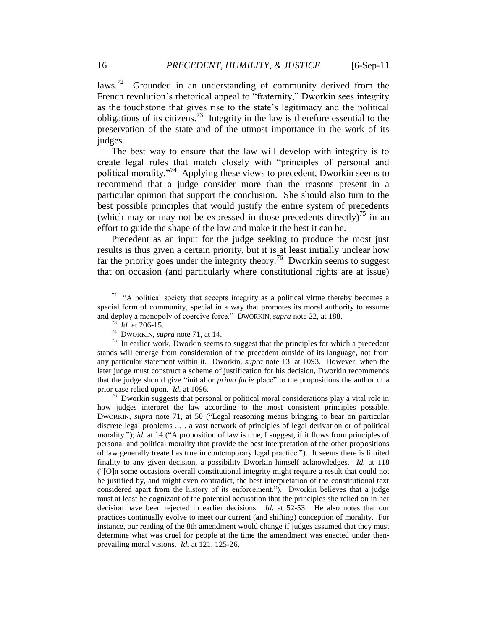laws.<sup>72</sup> Grounded in an understanding of community derived from the French revolution's rhetorical appeal to "fraternity," Dworkin sees integrity as the touchstone that gives rise to the state's legitimacy and the political obligations of its citizens.<sup>73</sup> Integrity in the law is therefore essential to the preservation of the state and of the utmost importance in the work of its judges.

The best way to ensure that the law will develop with integrity is to create legal rules that match closely with "principles of personal and political morality."<sup>74</sup> Applying these views to precedent, Dworkin seems to recommend that a judge consider more than the reasons present in a particular opinion that support the conclusion. She should also turn to the best possible principles that would justify the entire system of precedents (which may or may not be expressed in those precedents directly)<sup>75</sup> in an effort to guide the shape of the law and make it the best it can be.

Precedent as an input for the judge seeking to produce the most just results is thus given a certain priority, but it is at least initially unclear how far the priority goes under the integrity theory.<sup>76</sup> Dworkin seems to suggest that on occasion (and particularly where constitutional rights are at issue)

<sup>&</sup>lt;sup>72</sup> "A political society that accepts integrity as a political virtue thereby becomes a special form of community, special in a way that promotes its moral authority to assume and deploy a monopoly of coercive force." DWORKIN, *supra* note 22, at 188.

 $73$  *Id.* at 206-15.

<sup>74</sup> DWORKIN, *supra* note 71, at 14.

 $75$  In earlier work, Dworkin seems to suggest that the principles for which a precedent stands will emerge from consideration of the precedent outside of its language, not from any particular statement within it. Dworkin, *supra* note 13, at 1093. However, when the later judge must construct a scheme of justification for his decision, Dworkin recommends that the judge should give "initial or *prima facie* place" to the propositions the author of a prior case relied upon. *Id.* at 1096.

<sup>&</sup>lt;sup>76</sup> Dworkin suggests that personal or political moral considerations play a vital role in how judges interpret the law according to the most consistent principles possible. DWORKIN, *supra* note 71, at 50 ("Legal reasoning means bringing to bear on particular discrete legal problems . . . a vast network of principles of legal derivation or of political morality."); *id.* at 14 ("A proposition of law is true, I suggest, if it flows from principles of personal and political morality that provide the best interpretation of the other propositions of law generally treated as true in contemporary legal practice."). It seems there is limited finality to any given decision, a possibility Dworkin himself acknowledges. *Id.* at 118 ("[O]n some occasions overall constitutional integrity might require a result that could not be justified by, and might even contradict, the best interpretation of the constitutional text considered apart from the history of its enforcement."). Dworkin believes that a judge must at least be cognizant of the potential accusation that the principles she relied on in her decision have been rejected in earlier decisions. *Id.* at 52-53. He also notes that our practices continually evolve to meet our current (and shifting) conception of morality. For instance, our reading of the 8th amendment would change if judges assumed that they must determine what was cruel for people at the time the amendment was enacted under thenprevailing moral visions. *Id.* at 121, 125-26.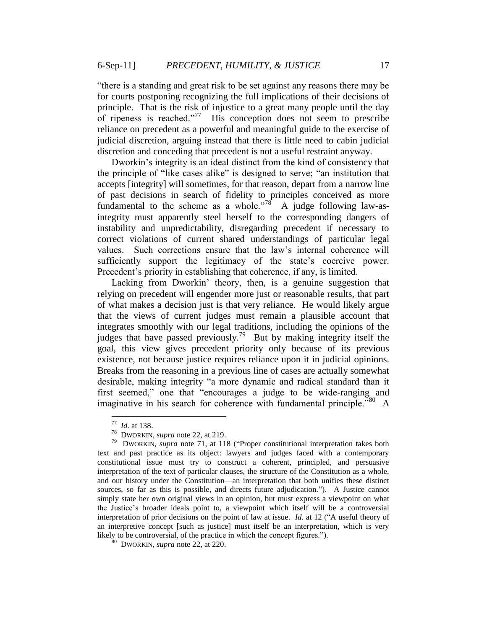"there is a standing and great risk to be set against any reasons there may be for courts postponing recognizing the full implications of their decisions of principle. That is the risk of injustice to a great many people until the day of ripeness is reached."<sup>77</sup> His conception does not seem to prescribe reliance on precedent as a powerful and meaningful guide to the exercise of judicial discretion, arguing instead that there is little need to cabin judicial discretion and conceding that precedent is not a useful restraint anyway.

Dworkin"s integrity is an ideal distinct from the kind of consistency that the principle of "like cases alike" is designed to serve; "an institution that accepts [integrity] will sometimes, for that reason, depart from a narrow line of past decisions in search of fidelity to principles conceived as more fundamental to the scheme as a whole.<sup>78</sup> A judge following law-asintegrity must apparently steel herself to the corresponding dangers of instability and unpredictability, disregarding precedent if necessary to correct violations of current shared understandings of particular legal values. Such corrections ensure that the law"s internal coherence will sufficiently support the legitimacy of the state's coercive power. Precedent"s priority in establishing that coherence, if any, is limited.

Lacking from Dworkin" theory, then, is a genuine suggestion that relying on precedent will engender more just or reasonable results, that part of what makes a decision just is that very reliance. He would likely argue that the views of current judges must remain a plausible account that integrates smoothly with our legal traditions, including the opinions of the judges that have passed previously.<sup>79</sup> But by making integrity itself the goal, this view gives precedent priority only because of its previous existence, not because justice requires reliance upon it in judicial opinions. Breaks from the reasoning in a previous line of cases are actually somewhat desirable, making integrity "a more dynamic and radical standard than it first seemed," one that "encourages a judge to be wide-ranging and imaginative in his search for coherence with fundamental principle.<sup>"80</sup> A

 $\frac{80}{10}$  DWORKIN, *supra* note 22, at 220.

 77 *Id.* at 138.

<sup>78</sup> DWORKIN, *supra* note 22, at 219.

<sup>&</sup>lt;sup>79</sup> DWORKIN, *supra* note 71, at 118 ("Proper constitutional interpretation takes both text and past practice as its object: lawyers and judges faced with a contemporary constitutional issue must try to construct a coherent, principled, and persuasive interpretation of the text of particular clauses, the structure of the Constitution as a whole, and our history under the Constitution—an interpretation that both unifies these distinct sources, so far as this is possible, and directs future adjudication."). A Justice cannot simply state her own original views in an opinion, but must express a viewpoint on what the Justice"s broader ideals point to, a viewpoint which itself will be a controversial interpretation of prior decisions on the point of law at issue. *Id.* at 12 ("A useful theory of an interpretive concept [such as justice] must itself be an interpretation, which is very likely to be controversial, of the practice in which the concept figures.").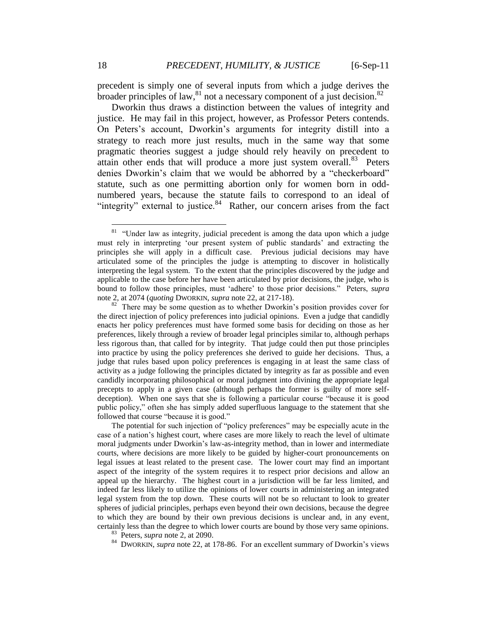precedent is simply one of several inputs from which a judge derives the broader principles of law,  $81$  not a necessary component of a just decision.  $82$ 

Dworkin thus draws a distinction between the values of integrity and justice. He may fail in this project, however, as Professor Peters contends. On Peters"s account, Dworkin"s arguments for integrity distill into a strategy to reach more just results, much in the same way that some pragmatic theories suggest a judge should rely heavily on precedent to attain other ends that will produce a more just system overall.<sup>83</sup> Peters denies Dworkin's claim that we would be abhorred by a "checkerboard" statute, such as one permitting abortion only for women born in oddnumbered years, because the statute fails to correspond to an ideal of "integrity" external to justice. $84$  Rather, our concern arises from the fact

The potential for such injection of "policy preferences" may be especially acute in the case of a nation"s highest court, where cases are more likely to reach the level of ultimate moral judgments under Dworkin"s law-as-integrity method, than in lower and intermediate courts, where decisions are more likely to be guided by higher-court pronouncements on legal issues at least related to the present case. The lower court may find an important aspect of the integrity of the system requires it to respect prior decisions and allow an appeal up the hierarchy. The highest court in a jurisdiction will be far less limited, and indeed far less likely to utilize the opinions of lower courts in administering an integrated legal system from the top down. These courts will not be so reluctant to look to greater spheres of judicial principles, perhaps even beyond their own decisions, because the degree to which they are bound by their own previous decisions is unclear and, in any event, certainly less than the degree to which lower courts are bound by those very same opinions.

<sup>84</sup> DWORKIN, *supra* note 22, at 178-86. For an excellent summary of Dworkin's views

 $81$  "Under law as integrity, judicial precedent is among the data upon which a judge must rely in interpreting "our present system of public standards" and extracting the principles she will apply in a difficult case. Previous judicial decisions may have articulated some of the principles the judge is attempting to discover in holistically interpreting the legal system. To the extent that the principles discovered by the judge and applicable to the case before her have been articulated by prior decisions, the judge, who is bound to follow those principles, must "adhere" to those prior decisions." Peters, *supra* note 2, at 2074 (*quoting* DWORKIN, *supra* note 22, at 217-18).

 $82$  There may be some question as to whether Dworkin's position provides cover for the direct injection of policy preferences into judicial opinions. Even a judge that candidly enacts her policy preferences must have formed some basis for deciding on those as her preferences, likely through a review of broader legal principles similar to, although perhaps less rigorous than, that called for by integrity. That judge could then put those principles into practice by using the policy preferences she derived to guide her decisions. Thus, a judge that rules based upon policy preferences is engaging in at least the same class of activity as a judge following the principles dictated by integrity as far as possible and even candidly incorporating philosophical or moral judgment into divining the appropriate legal precepts to apply in a given case (although perhaps the former is guilty of more selfdeception). When one says that she is following a particular course "because it is good public policy," often she has simply added superfluous language to the statement that she followed that course "because it is good."

<sup>83</sup> Peters, *supra* note 2, at 2090.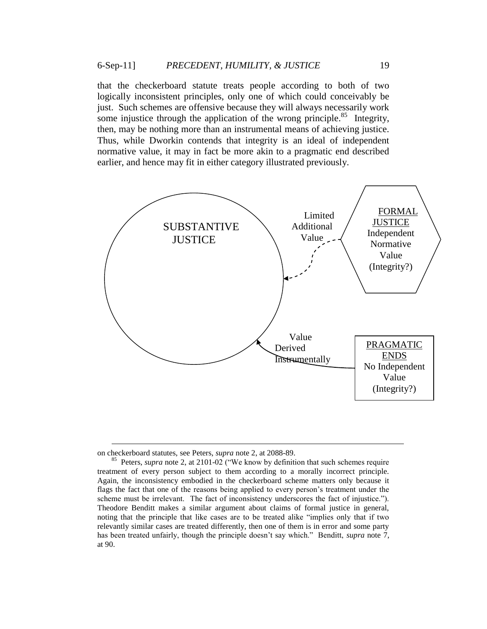that the checkerboard statute treats people according to both of two logically inconsistent principles, only one of which could conceivably be just. Such schemes are offensive because they will always necessarily work some injustice through the application of the wrong principle.<sup>85</sup> Integrity, then, may be nothing more than an instrumental means of achieving justice. Thus, while Dworkin contends that integrity is an ideal of independent normative value, it may in fact be more akin to a pragmatic end described earlier, and hence may fit in either category illustrated previously.



on checkerboard statutes, see Peters, *supra* note 2, at 2088-89.

<sup>&</sup>lt;sup>85</sup> Peters, *supra* note 2, at 2101-02 ("We know by definition that such schemes require treatment of every person subject to them according to a morally incorrect principle. Again, the inconsistency embodied in the checkerboard scheme matters only because it flags the fact that one of the reasons being applied to every person"s treatment under the scheme must be irrelevant. The fact of inconsistency underscores the fact of injustice."). Theodore Benditt makes a similar argument about claims of formal justice in general, noting that the principle that like cases are to be treated alike "implies only that if two relevantly similar cases are treated differently, then one of them is in error and some party has been treated unfairly, though the principle doesn"t say which." Benditt, *supra* note 7, at 90.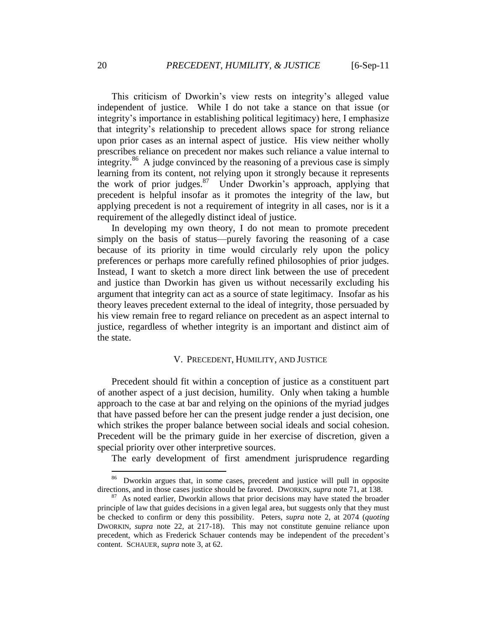This criticism of Dworkin"s view rests on integrity"s alleged value independent of justice. While I do not take a stance on that issue (or integrity"s importance in establishing political legitimacy) here, I emphasize that integrity"s relationship to precedent allows space for strong reliance upon prior cases as an internal aspect of justice. His view neither wholly prescribes reliance on precedent nor makes such reliance a value internal to integrity.<sup>86</sup> A judge convinced by the reasoning of a previous case is simply learning from its content, not relying upon it strongly because it represents the work of prior judges.<sup>87</sup> Under Dworkin's approach, applying that precedent is helpful insofar as it promotes the integrity of the law, but applying precedent is not a requirement of integrity in all cases, nor is it a requirement of the allegedly distinct ideal of justice.

In developing my own theory, I do not mean to promote precedent simply on the basis of status—purely favoring the reasoning of a case because of its priority in time would circularly rely upon the policy preferences or perhaps more carefully refined philosophies of prior judges. Instead, I want to sketch a more direct link between the use of precedent and justice than Dworkin has given us without necessarily excluding his argument that integrity can act as a source of state legitimacy. Insofar as his theory leaves precedent external to the ideal of integrity, those persuaded by his view remain free to regard reliance on precedent as an aspect internal to justice, regardless of whether integrity is an important and distinct aim of the state.

### V. PRECEDENT, HUMILITY, AND JUSTICE

Precedent should fit within a conception of justice as a constituent part of another aspect of a just decision, humility. Only when taking a humble approach to the case at bar and relying on the opinions of the myriad judges that have passed before her can the present judge render a just decision, one which strikes the proper balance between social ideals and social cohesion. Precedent will be the primary guide in her exercise of discretion, given a special priority over other interpretive sources.

The early development of first amendment jurisprudence regarding

<sup>86</sup> Dworkin argues that, in some cases, precedent and justice will pull in opposite directions, and in those cases justice should be favored. DWORKIN, *supra* note 71, at 138.

<sup>&</sup>lt;sup>87</sup> As noted earlier, Dworkin allows that prior decisions may have stated the broader principle of law that guides decisions in a given legal area, but suggests only that they must be checked to confirm or deny this possibility. Peters, *supra* note 2, at 2074 (*quoting* DWORKIN, *supra* note 22, at 217-18). This may not constitute genuine reliance upon precedent, which as Frederick Schauer contends may be independent of the precedent"s content. SCHAUER, *supra* note 3, at 62.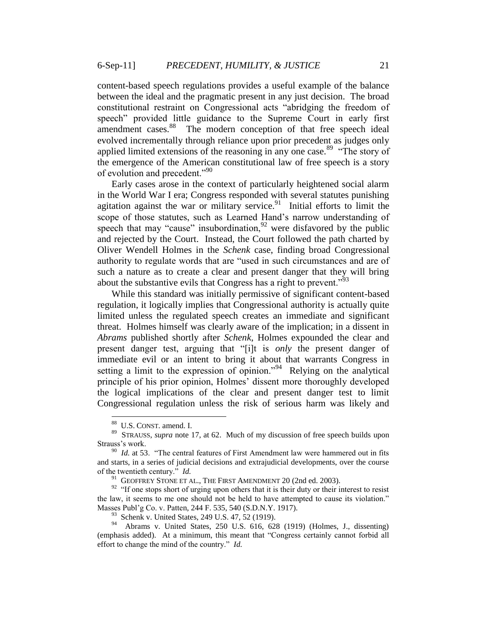content-based speech regulations provides a useful example of the balance between the ideal and the pragmatic present in any just decision. The broad constitutional restraint on Congressional acts "abridging the freedom of speech" provided little guidance to the Supreme Court in early first amendment cases.<sup>88</sup> The modern conception of that free speech ideal evolved incrementally through reliance upon prior precedent as judges only applied limited extensions of the reasoning in any one case.<sup>89</sup> "The story of the emergence of the American constitutional law of free speech is a story of evolution and precedent."<sup>90</sup>

Early cases arose in the context of particularly heightened social alarm in the World War I era; Congress responded with several statutes punishing agitation against the war or military service. $91$  Initial efforts to limit the scope of those statutes, such as Learned Hand"s narrow understanding of speech that may "cause" insubordination,  $92$  were disfavored by the public and rejected by the Court. Instead, the Court followed the path charted by Oliver Wendell Holmes in the *Schenk* case, finding broad Congressional authority to regulate words that are "used in such circumstances and are of such a nature as to create a clear and present danger that they will bring about the substantive evils that Congress has a right to prevent.<sup> $3^{93}$ </sup>

While this standard was initially permissive of significant content-based regulation, it logically implies that Congressional authority is actually quite limited unless the regulated speech creates an immediate and significant threat. Holmes himself was clearly aware of the implication; in a dissent in *Abrams* published shortly after *Schenk*, Holmes expounded the clear and present danger test, arguing that "[i]t is *only* the present danger of immediate evil or an intent to bring it about that warrants Congress in setting a limit to the expression of opinion."<sup>94</sup> Relying on the analytical principle of his prior opinion, Holmes" dissent more thoroughly developed the logical implications of the clear and present danger test to limit Congressional regulation unless the risk of serious harm was likely and

 88 U.S. CONST. amend. I.

<sup>89</sup> STRAUSS, *supra* note 17, at 62. Much of my discussion of free speech builds upon Strauss's work.

<sup>&</sup>lt;sup>90</sup> *Id.* at 53. "The central features of First Amendment law were hammered out in fits and starts, in a series of judicial decisions and extrajudicial developments, over the course of the twentieth century." *Id.*

<sup>&</sup>lt;sup>91</sup> GEOFFREY STONE ET AL., THE FIRST AMENDMENT 20 (2nd ed. 2003).

 $92$  "If one stops short of urging upon others that it is their duty or their interest to resist the law, it seems to me one should not be held to have attempted to cause its violation." Masses Publ"g Co. v. Patten, 244 F. 535, 540 (S.D.N.Y. 1917).

<sup>93</sup> Schenk v. United States, 249 U.S. 47, 52 (1919).

<sup>94</sup> Abrams v. United States, 250 U.S. 616, 628 (1919) (Holmes, J., dissenting) (emphasis added). At a minimum, this meant that "Congress certainly cannot forbid all effort to change the mind of the country." *Id.*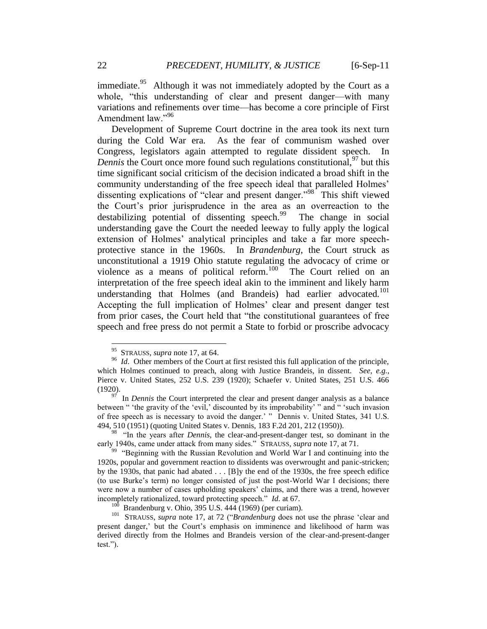immediate.<sup>95</sup> Although it was not immediately adopted by the Court as a whole, "this understanding of clear and present danger—with many variations and refinements over time—has become a core principle of First Amendment law."<sup>96</sup>

Development of Supreme Court doctrine in the area took its next turn during the Cold War era. As the fear of communism washed over Congress, legislators again attempted to regulate dissident speech. In *Dennis* the Court once more found such regulations constitutional, <sup>97</sup> but this time significant social criticism of the decision indicated a broad shift in the community understanding of the free speech ideal that paralleled Holmes" dissenting explications of "clear and present danger."<sup>98</sup> This shift viewed the Court"s prior jurisprudence in the area as an overreaction to the destabilizing potential of dissenting speech.<sup>99</sup> The change in social understanding gave the Court the needed leeway to fully apply the logical extension of Holmes' analytical principles and take a far more speechprotective stance in the 1960s. In *Brandenburg*, the Court struck as unconstitutional a 1919 Ohio statute regulating the advocacy of crime or violence as a means of political reform. $100^\circ$  The Court relied on an interpretation of the free speech ideal akin to the imminent and likely harm understanding that Holmes (and Brandeis) had earlier advocated.<sup>101</sup> Accepting the full implication of Holmes' clear and present danger test from prior cases, the Court held that "the constitutional guarantees of free speech and free press do not permit a State to forbid or proscribe advocacy

<sup>&</sup>lt;sup>95</sup> STRAUSS, *supra* note 17, at 64.

<sup>&</sup>lt;sup>96</sup> *Id*. Other members of the Court at first resisted this full application of the principle, which Holmes continued to preach, along with Justice Brandeis, in dissent. *See, e.g.*, Pierce v. United States, 252 U.S. 239 (1920); Schaefer v. United States, 251 U.S. 466 (1920).

<sup>&</sup>lt;sup>97</sup> In *Dennis* the Court interpreted the clear and present danger analysis as a balance between " 'the gravity of the 'evil,' discounted by its improbability' " and " 'such invasion of free speech as is necessary to avoid the danger." " Dennis v. United States, 341 U.S. 494, 510 (1951) (quoting United States v. Dennis, 183 F.2d 201, 212 (1950)).

<sup>&</sup>lt;sup>98</sup> "In the years after *Dennis*, the clear-and-present-danger test, so dominant in the early 1940s, came under attack from many sides." STRAUSS, *supra* note 17, at 71.

<sup>&</sup>lt;sup>99</sup> "Beginning with the Russian Revolution and World War I and continuing into the 1920s, popular and government reaction to dissidents was overwrought and panic-stricken; by the 1930s, that panic had abated  $\dots$  [B]y the end of the 1930s, the free speech edifice (to use Burke"s term) no longer consisted of just the post-World War I decisions; there were now a number of cases upholding speakers' claims, and there was a trend, however incompletely rationalized, toward protecting speech." *Id.* at 67.

 $^{100}$  Brandenburg v. Ohio, 395 U.S. 444 (1969) (per curiam).

<sup>&</sup>lt;sup>101</sup> STRAUSS, *supra* note 17, at 72 ("*Brandenburg* does not use the phrase 'clear and present danger," but the Court"s emphasis on imminence and likelihood of harm was derived directly from the Holmes and Brandeis version of the clear-and-present-danger test.").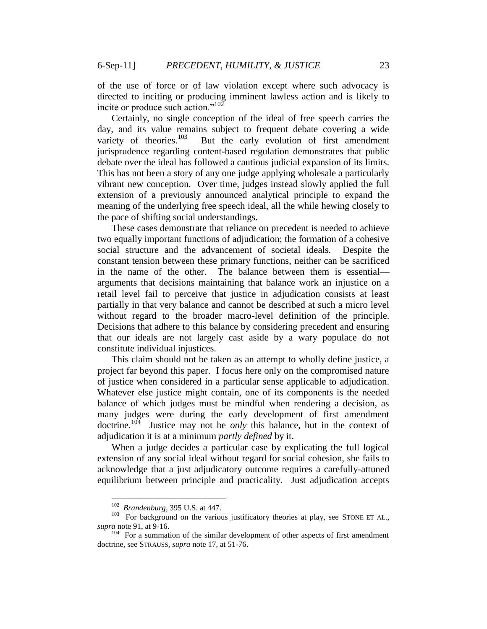of the use of force or of law violation except where such advocacy is directed to inciting or producing imminent lawless action and is likely to incite or produce such action."<sup>102</sup>

Certainly, no single conception of the ideal of free speech carries the day, and its value remains subject to frequent debate covering a wide variety of theories.<sup>103</sup> But the early evolution of first amendment jurisprudence regarding content-based regulation demonstrates that public debate over the ideal has followed a cautious judicial expansion of its limits. This has not been a story of any one judge applying wholesale a particularly vibrant new conception. Over time, judges instead slowly applied the full extension of a previously announced analytical principle to expand the meaning of the underlying free speech ideal, all the while hewing closely to the pace of shifting social understandings.

These cases demonstrate that reliance on precedent is needed to achieve two equally important functions of adjudication; the formation of a cohesive social structure and the advancement of societal ideals. Despite the constant tension between these primary functions, neither can be sacrificed in the name of the other. The balance between them is essential arguments that decisions maintaining that balance work an injustice on a retail level fail to perceive that justice in adjudication consists at least partially in that very balance and cannot be described at such a micro level without regard to the broader macro-level definition of the principle. Decisions that adhere to this balance by considering precedent and ensuring that our ideals are not largely cast aside by a wary populace do not constitute individual injustices.

This claim should not be taken as an attempt to wholly define justice, a project far beyond this paper. I focus here only on the compromised nature of justice when considered in a particular sense applicable to adjudication. Whatever else justice might contain, one of its components is the needed balance of which judges must be mindful when rendering a decision, as many judges were during the early development of first amendment doctrine.<sup>104</sup> Justice may not be *only* this balance, but in the context of adjudication it is at a minimum *partly defined* by it.

When a judge decides a particular case by explicating the full logical extension of any social ideal without regard for social cohesion, she fails to acknowledge that a just adjudicatory outcome requires a carefully-attuned equilibrium between principle and practicality. Just adjudication accepts

 102 *Brandenburg*, 395 U.S. at 447.

<sup>&</sup>lt;sup>103</sup> For background on the various justificatory theories at play, see STONE ET AL., *supra* note 91, at 9-16. 104 For a summation of the similar development of other aspects of first amendment

doctrine, see STRAUSS, *supra* note 17, at 51-76.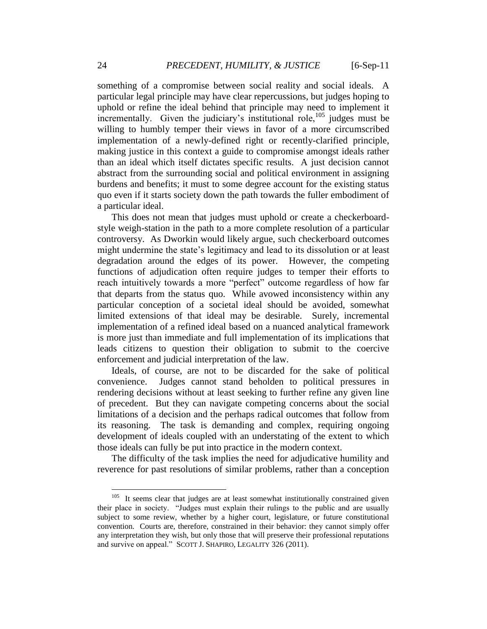something of a compromise between social reality and social ideals. A particular legal principle may have clear repercussions, but judges hoping to uphold or refine the ideal behind that principle may need to implement it incrementally. Given the judiciary's institutional role,<sup>105</sup> judges must be willing to humbly temper their views in favor of a more circumscribed implementation of a newly-defined right or recently-clarified principle, making justice in this context a guide to compromise amongst ideals rather than an ideal which itself dictates specific results. A just decision cannot abstract from the surrounding social and political environment in assigning burdens and benefits; it must to some degree account for the existing status quo even if it starts society down the path towards the fuller embodiment of a particular ideal.

This does not mean that judges must uphold or create a checkerboardstyle weigh-station in the path to a more complete resolution of a particular controversy. As Dworkin would likely argue, such checkerboard outcomes might undermine the state's legitimacy and lead to its dissolution or at least degradation around the edges of its power. However, the competing functions of adjudication often require judges to temper their efforts to reach intuitively towards a more "perfect" outcome regardless of how far that departs from the status quo. While avowed inconsistency within any particular conception of a societal ideal should be avoided, somewhat limited extensions of that ideal may be desirable. Surely, incremental implementation of a refined ideal based on a nuanced analytical framework is more just than immediate and full implementation of its implications that leads citizens to question their obligation to submit to the coercive enforcement and judicial interpretation of the law.

Ideals, of course, are not to be discarded for the sake of political convenience. Judges cannot stand beholden to political pressures in rendering decisions without at least seeking to further refine any given line of precedent. But they can navigate competing concerns about the social limitations of a decision and the perhaps radical outcomes that follow from its reasoning. The task is demanding and complex, requiring ongoing development of ideals coupled with an understating of the extent to which those ideals can fully be put into practice in the modern context.

The difficulty of the task implies the need for adjudicative humility and reverence for past resolutions of similar problems, rather than a conception

<sup>105</sup> It seems clear that judges are at least somewhat institutionally constrained given their place in society. "Judges must explain their rulings to the public and are usually subject to some review, whether by a higher court, legislature, or future constitutional convention. Courts are, therefore, constrained in their behavior: they cannot simply offer any interpretation they wish, but only those that will preserve their professional reputations and survive on appeal." SCOTT J. SHAPIRO, LEGALITY 326 (2011).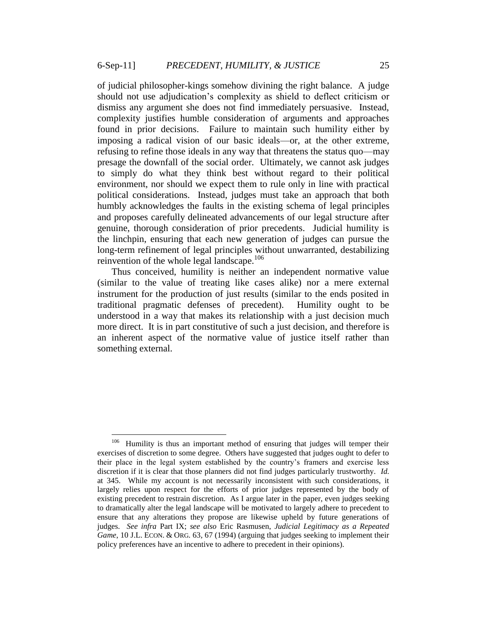of judicial philosopher-kings somehow divining the right balance. A judge should not use adjudication"s complexity as shield to deflect criticism or dismiss any argument she does not find immediately persuasive. Instead, complexity justifies humble consideration of arguments and approaches found in prior decisions. Failure to maintain such humility either by imposing a radical vision of our basic ideals—or, at the other extreme, refusing to refine those ideals in any way that threatens the status quo—may presage the downfall of the social order. Ultimately, we cannot ask judges to simply do what they think best without regard to their political environment, nor should we expect them to rule only in line with practical political considerations. Instead, judges must take an approach that both humbly acknowledges the faults in the existing schema of legal principles and proposes carefully delineated advancements of our legal structure after genuine, thorough consideration of prior precedents. Judicial humility is the linchpin, ensuring that each new generation of judges can pursue the long-term refinement of legal principles without unwarranted, destabilizing reinvention of the whole legal landscape. $106$ 

Thus conceived, humility is neither an independent normative value (similar to the value of treating like cases alike) nor a mere external instrument for the production of just results (similar to the ends posited in traditional pragmatic defenses of precedent). Humility ought to be understood in a way that makes its relationship with a just decision much more direct. It is in part constitutive of such a just decision, and therefore is an inherent aspect of the normative value of justice itself rather than something external.

<sup>106</sup> Humility is thus an important method of ensuring that judges will temper their exercises of discretion to some degree. Others have suggested that judges ought to defer to their place in the legal system established by the country"s framers and exercise less discretion if it is clear that those planners did not find judges particularly trustworthy. *Id.* at 345. While my account is not necessarily inconsistent with such considerations, it largely relies upon respect for the efforts of prior judges represented by the body of existing precedent to restrain discretion. As I argue later in the paper, even judges seeking to dramatically alter the legal landscape will be motivated to largely adhere to precedent to ensure that any alterations they propose are likewise upheld by future generations of judges. *See infra* Part IX; *see also* Eric Rasmusen, *Judicial Legitimacy as a Repeated Game*, 10 J.L. ECON. & ORG. 63, 67 (1994) (arguing that judges seeking to implement their policy preferences have an incentive to adhere to precedent in their opinions).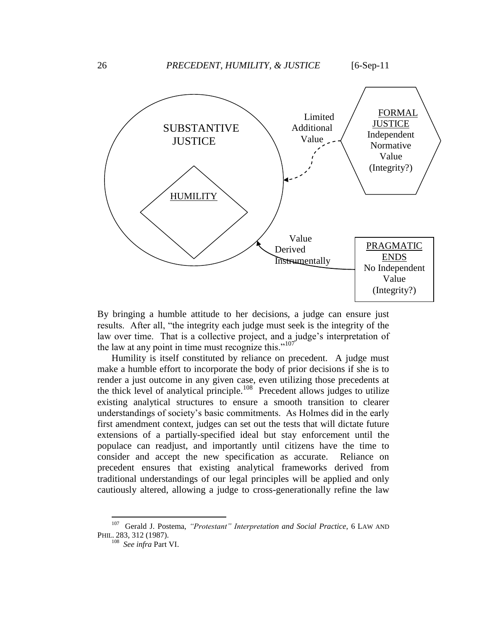

By bringing a humble attitude to her decisions, a judge can ensure just results. After all, "the integrity each judge must seek is the integrity of the law over time. That is a collective project, and a judge's interpretation of the law at any point in time must recognize this."<sup>107</sup>

Humility is itself constituted by reliance on precedent. A judge must make a humble effort to incorporate the body of prior decisions if she is to render a just outcome in any given case, even utilizing those precedents at the thick level of analytical principle.<sup>108</sup> Precedent allows judges to utilize existing analytical structures to ensure a smooth transition to clearer understandings of society"s basic commitments. As Holmes did in the early first amendment context, judges can set out the tests that will dictate future extensions of a partially-specified ideal but stay enforcement until the populace can readjust, and importantly until citizens have the time to consider and accept the new specification as accurate. Reliance on precedent ensures that existing analytical frameworks derived from traditional understandings of our legal principles will be applied and only cautiously altered, allowing a judge to cross-generationally refine the law

<sup>&</sup>lt;sup>107</sup> Gerald J. Postema, *"Protestant" Interpretation and Social Practice*, 6 LAW AND PHIL. 283, 312 (1987). 108 *See infra* Part VI.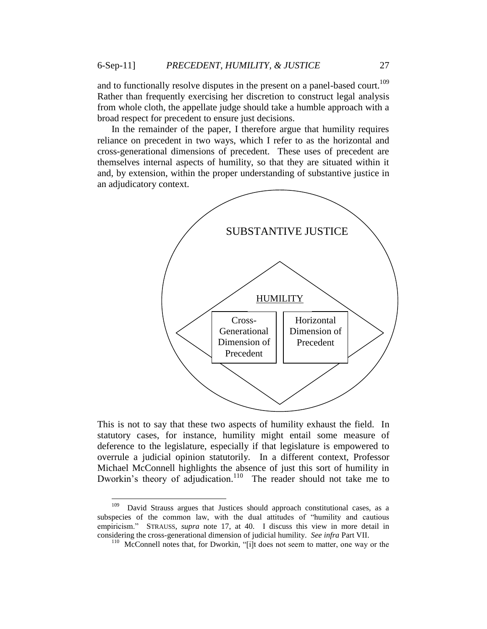and to functionally resolve disputes in the present on a panel-based court.<sup>109</sup> Rather than frequently exercising her discretion to construct legal analysis from whole cloth, the appellate judge should take a humble approach with a broad respect for precedent to ensure just decisions.

In the remainder of the paper, I therefore argue that humility requires reliance on precedent in two ways, which I refer to as the horizontal and cross-generational dimensions of precedent. These uses of precedent are themselves internal aspects of humility, so that they are situated within it and, by extension, within the proper understanding of substantive justice in an adjudicatory context.



This is not to say that these two aspects of humility exhaust the field. In statutory cases, for instance, humility might entail some measure of deference to the legislature, especially if that legislature is empowered to overrule a judicial opinion statutorily. In a different context, Professor Michael McConnell highlights the absence of just this sort of humility in Dworkin's theory of adjudication.<sup>110</sup> The reader should not take me to

<sup>&</sup>lt;sup>109</sup> David Strauss argues that Justices should approach constitutional cases, as a subspecies of the common law, with the dual attitudes of "humility and cautious empiricism." STRAUSS, *supra* note 17, at 40. I discuss this view in more detail in considering the cross-generational dimension of judicial humility. *See infra* Part VII.

<sup>&</sup>lt;sup>110</sup> McConnell notes that, for Dworkin, "[i]t does not seem to matter, one way or the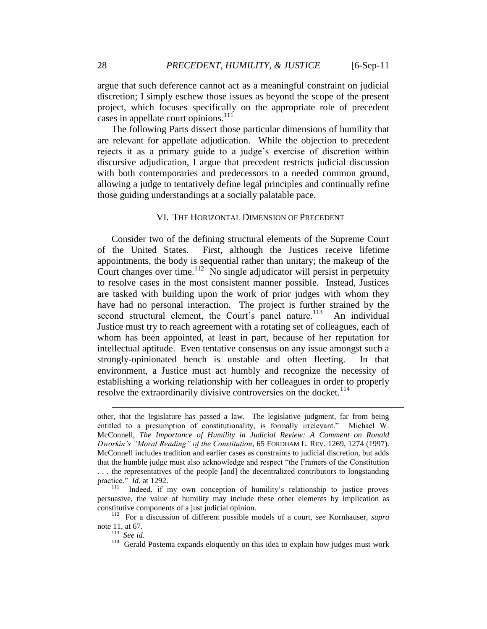argue that such deference cannot act as a meaningful constraint on judicial discretion; I simply eschew those issues as beyond the scope of the present project, which focuses specifically on the appropriate role of precedent cases in appellate court opinions.<sup>111</sup>

The following Parts dissect those particular dimensions of humility that are relevant for appellate adjudication. While the objection to precedent rejects it as a primary guide to a judge's exercise of discretion within discursive adjudication, I argue that precedent restricts judicial discussion with both contemporaries and predecessors to a needed common ground, allowing a judge to tentatively define legal principles and continually refine those guiding understandings at a socially palatable pace.

#### VI. THE HORIZONTAL DIMENSION OF PRECEDENT

Consider two of the defining structural elements of the Supreme Court of the United States. First, although the Justices receive lifetime appointments, the body is sequential rather than unitary; the makeup of the Court changes over time.<sup>112</sup> No single adjudicator will persist in perpetuity to resolve cases in the most consistent manner possible. Instead, Justices are tasked with building upon the work of prior judges with whom they have had no personal interaction. The project is further strained by the second structural element, the Court's panel nature.<sup>113</sup> An individual Justice must try to reach agreement with a rotating set of colleagues, each of whom has been appointed, at least in part, because of her reputation for intellectual aptitude. Even tentative consensus on any issue amongst such a strongly-opinionated bench is unstable and often fleeting. In that environment, a Justice must act humbly and recognize the necessity of establishing a working relationship with her colleagues in order to properly resolve the extraordinarily divisive controversies on the docket.<sup>114</sup>

other, that the legislature has passed a law. The legislative judgment, far from being entitled to a presumption of constitutionality, is formally irrelevant." Michael W. McConnell, *The Importance of Humility in Judicial Review: A Comment on Ronald Dworkin's "Moral Reading" of the Constitution*, 65 FORDHAM L. REV. 1269, 1274 (1997). McConnell includes tradition and earlier cases as constraints to judicial discretion, but adds that the humble judge must also acknowledge and respect "the Framers of the Constitution . . . the representatives of the people [and] the decentralized contributors to longstanding practice." *Id.* at 1292.

<sup>&</sup>lt;sup>111</sup> Indeed, if my own conception of humility's relationship to justice proves persuasive, the value of humility may include these other elements by implication as constitutive components of a just judicial opinion.

<sup>112</sup> For a discussion of different possible models of a court, *see* Kornhauser, *supra* note 11, at 67.

<sup>113</sup> *See id*.

<sup>&</sup>lt;sup>114</sup> Gerald Postema expands eloquently on this idea to explain how judges must work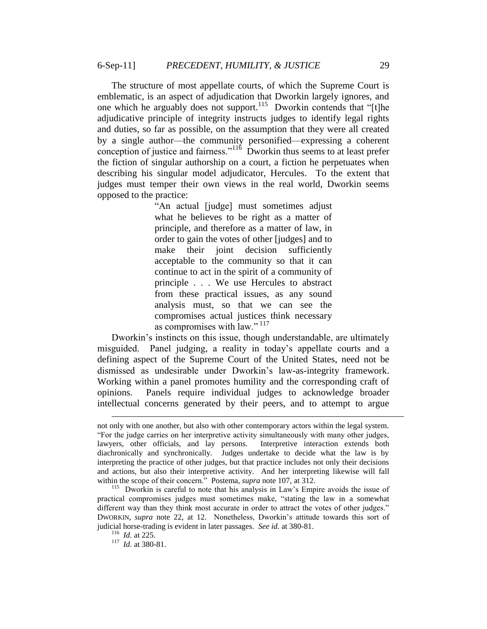The structure of most appellate courts, of which the Supreme Court is emblematic, is an aspect of adjudication that Dworkin largely ignores, and one which he arguably does not support.<sup>115</sup> Dworkin contends that "[t]he adjudicative principle of integrity instructs judges to identify legal rights and duties, so far as possible, on the assumption that they were all created by a single author—the community personified—expressing a coherent conception of justice and fairness."<sup>116</sup> Dworkin thus seems to at least prefer the fiction of singular authorship on a court, a fiction he perpetuates when describing his singular model adjudicator, Hercules. To the extent that judges must temper their own views in the real world, Dworkin seems opposed to the practice:

> "An actual [judge] must sometimes adjust what he believes to be right as a matter of principle, and therefore as a matter of law, in order to gain the votes of other [judges] and to make their joint decision sufficiently acceptable to the community so that it can continue to act in the spirit of a community of principle . . . We use Hercules to abstract from these practical issues, as any sound analysis must, so that we can see the compromises actual justices think necessary as compromises with law." <sup>117</sup>

Dworkin's instincts on this issue, though understandable, are ultimately misguided. Panel judging, a reality in today"s appellate courts and a defining aspect of the Supreme Court of the United States, need not be dismissed as undesirable under Dworkin"s law-as-integrity framework. Working within a panel promotes humility and the corresponding craft of opinions. Panels require individual judges to acknowledge broader intellectual concerns generated by their peers, and to attempt to argue

not only with one another, but also with other contemporary actors within the legal system. "For the judge carries on her interpretive activity simultaneously with many other judges, lawyers, other officials, and lay persons. Interpretive interaction extends both diachronically and synchronically. Judges undertake to decide what the law is by interpreting the practice of other judges, but that practice includes not only their decisions and actions, but also their interpretive activity. And her interpreting likewise will fall within the scope of their concern." Postema, *supra* note 107, at 312.

<sup>&</sup>lt;sup>115</sup> Dworkin is careful to note that his analysis in Law's Empire avoids the issue of practical compromises judges must sometimes make, "stating the law in a somewhat different way than they think most accurate in order to attract the votes of other judges." DWORKIN, *supra* note 22, at 12. Nonetheless, Dworkin"s attitude towards this sort of judicial horse-trading is evident in later passages. *See id.* at 380-81.

<sup>&</sup>lt;sup>116</sup> *Id.* at 225.<br><sup>117</sup> *Id.* at 380-81.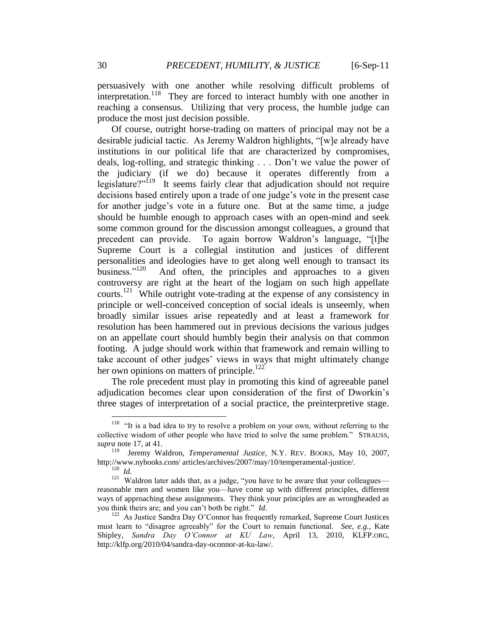persuasively with one another while resolving difficult problems of interpretation.<sup>118</sup> They are forced to interact humbly with one another in reaching a consensus. Utilizing that very process, the humble judge can produce the most just decision possible.

Of course, outright horse-trading on matters of principal may not be a desirable judicial tactic. As Jeremy Waldron highlights, "[w]e already have institutions in our political life that are characterized by compromises, deals, log-rolling, and strategic thinking . . . Don"t we value the power of the judiciary (if we do) because it operates differently from a legislature?"<sup>119</sup> It seems fairly clear that adjudication should not require decisions based entirely upon a trade of one judge"s vote in the present case for another judge"s vote in a future one. But at the same time, a judge should be humble enough to approach cases with an open-mind and seek some common ground for the discussion amongst colleagues, a ground that precedent can provide. To again borrow Waldron"s language, "[t]he Supreme Court is a collegial institution and justices of different personalities and ideologies have to get along well enough to transact its business."<sup>120</sup> And often, the principles and approaches to a given controversy are right at the heart of the logjam on such high appellate courts.<sup>121</sup> While outright vote-trading at the expense of any consistency in principle or well-conceived conception of social ideals is unseemly, when broadly similar issues arise repeatedly and at least a framework for resolution has been hammered out in previous decisions the various judges on an appellate court should humbly begin their analysis on that common footing. A judge should work within that framework and remain willing to take account of other judges' views in ways that might ultimately change her own opinions on matters of principle.<sup>122</sup>

The role precedent must play in promoting this kind of agreeable panel adjudication becomes clear upon consideration of the first of Dworkin"s three stages of interpretation of a social practice, the preinterpretive stage.

<sup>&</sup>lt;sup>118</sup> "It is a bad idea to try to resolve a problem on your own, without referring to the collective wisdom of other people who have tried to solve the same problem." STRAUSS, *supra* note 17, at 41.

<sup>&</sup>lt;sup>119</sup> Jeremy Waldron, *Temperamental Justice*, N.Y. REV. BOOKS, May 10, 2007, http://www.nybooks.com/ articles/archives/2007/may/10/temperamental-justice/.

<sup>120</sup> *Id.*

 $121$  Waldron later adds that, as a judge, "you have to be aware that your colleagues reasonable men and women like you—have come up with different principles, different ways of approaching these assignments. They think your principles are as wrongheaded as you think theirs are; and you can"t both be right." *Id.*

<sup>&</sup>lt;sup>122</sup> As Justice Sandra Day O'Connor has frequently remarked, Supreme Court Justices must learn to "disagree agreeably" for the Court to remain functional. *See, e.g.*, Kate Shipley, *Sandra Day O'Connor at KU Law*, April 13, 2010, KLFP.ORG, http://klfp.org/2010/04/sandra-day-oconnor-at-ku-law/.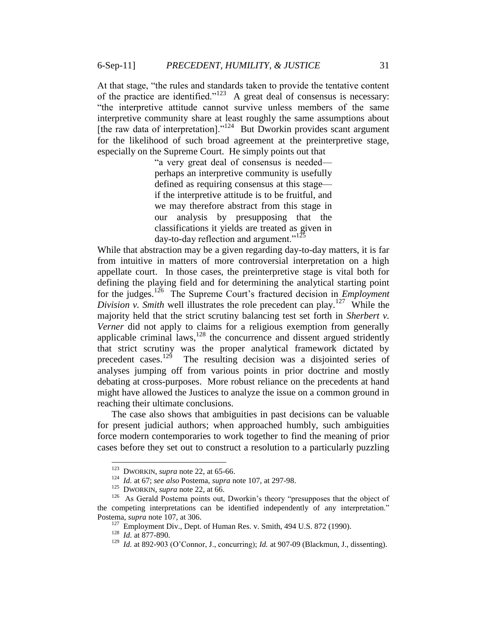At that stage, "the rules and standards taken to provide the tentative content of the practice are identified." $123$  A great deal of consensus is necessary: "the interpretive attitude cannot survive unless members of the same interpretive community share at least roughly the same assumptions about [the raw data of interpretation]."<sup>124</sup> But Dworkin provides scant argument for the likelihood of such broad agreement at the preinterpretive stage, especially on the Supreme Court. He simply points out that

> "a very great deal of consensus is needed perhaps an interpretive community is usefully defined as requiring consensus at this stage if the interpretive attitude is to be fruitful, and we may therefore abstract from this stage in our analysis by presupposing that the classifications it yields are treated as given in day-to-day reflection and argument." $125$

While that abstraction may be a given regarding day-to-day matters, it is far from intuitive in matters of more controversial interpretation on a high appellate court. In those cases, the preinterpretive stage is vital both for defining the playing field and for determining the analytical starting point for the judges.<sup>126</sup> The Supreme Court's fractured decision in *Employment Division v. Smith* well illustrates the role precedent can play.<sup>127</sup> While the majority held that the strict scrutiny balancing test set forth in *Sherbert v. Verner* did not apply to claims for a religious exemption from generally applicable criminal laws, $128$  the concurrence and dissent argued stridently that strict scrutiny was the proper analytical framework dictated by precedent cases.<sup>129</sup> The resulting decision was a disjointed series of analyses jumping off from various points in prior doctrine and mostly debating at cross-purposes. More robust reliance on the precedents at hand might have allowed the Justices to analyze the issue on a common ground in reaching their ultimate conclusions.

The case also shows that ambiguities in past decisions can be valuable for present judicial authors; when approached humbly, such ambiguities force modern contemporaries to work together to find the meaning of prior cases before they set out to construct a resolution to a particularly puzzling

<sup>&</sup>lt;sup>123</sup> DWORKIN, *supra* note 22, at 65-66.

<sup>124</sup> *Id.* at 67; *see also* Postema, *supra* note 107, at 297-98.

<sup>&</sup>lt;sup>125</sup> DWORKIN, *supra* note 22, at 66.

<sup>&</sup>lt;sup>126</sup> As Gerald Postema points out, Dworkin's theory "presupposes that the object of the competing interpretations can be identified independently of any interpretation." Postema, *supra* note 107, at 306.

 $127$  Employment Div., Dept. of Human Res. v. Smith, 494 U.S. 872 (1990).

<sup>128</sup> *Id.* at 877-890.

<sup>&</sup>lt;sup>129</sup> *Id.* at 892-903 (O'Connor, J., concurring); *Id.* at 907-09 (Blackmun, J., dissenting).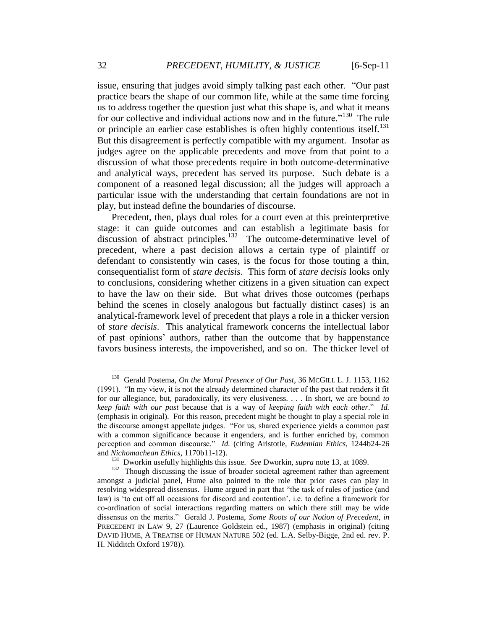issue, ensuring that judges avoid simply talking past each other. "Our past practice bears the shape of our common life, while at the same time forcing us to address together the question just what this shape is, and what it means for our collective and individual actions now and in the future."<sup>130</sup> The rule or principle an earlier case establishes is often highly contentious itself.<sup>131</sup> But this disagreement is perfectly compatible with my argument. Insofar as judges agree on the applicable precedents and move from that point to a discussion of what those precedents require in both outcome-determinative and analytical ways, precedent has served its purpose. Such debate is a component of a reasoned legal discussion; all the judges will approach a particular issue with the understanding that certain foundations are not in play, but instead define the boundaries of discourse.

Precedent, then, plays dual roles for a court even at this preinterpretive stage: it can guide outcomes and can establish a legitimate basis for discussion of abstract principles.<sup>132</sup> The outcome-determinative level of precedent, where a past decision allows a certain type of plaintiff or defendant to consistently win cases, is the focus for those touting a thin, consequentialist form of *stare decisis*. This form of *stare decisis* looks only to conclusions, considering whether citizens in a given situation can expect to have the law on their side. But what drives those outcomes (perhaps behind the scenes in closely analogous but factually distinct cases) is an analytical-framework level of precedent that plays a role in a thicker version of *stare decisis*. This analytical framework concerns the intellectual labor of past opinions" authors, rather than the outcome that by happenstance favors business interests, the impoverished, and so on. The thicker level of

<sup>&</sup>lt;sup>130</sup> Gerald Postema, *On the Moral Presence of Our Past*, 36 MCGILL L. J. 1153, 1162 (1991). "In my view, it is not the already determined character of the past that renders it fit for our allegiance, but, paradoxically, its very elusiveness. . . . In short, we are bound *to keep faith with our past* because that is a way of *keeping faith with each other*." *Id.* (emphasis in original). For this reason, precedent might be thought to play a special role in the discourse amongst appellate judges. "For us, shared experience yields a common past with a common significance because it engenders, and is further enriched by, common perception and common discourse." *Id.* (citing Aristotle, *Eudemian Ethics*, 1244b24-26 and *Nichomachean Ethics*, 1170b11-12).

<sup>131</sup> Dworkin usefully highlights this issue. *See* Dworkin, *supra* note 13, at 1089.

<sup>&</sup>lt;sup>132</sup> Though discussing the issue of broader societal agreement rather than agreement amongst a judicial panel, Hume also pointed to the role that prior cases can play in resolving widespread dissensus. Hume argued in part that "the task of rules of justice (and law) is "to cut off all occasions for discord and contention", i.e. to define a framework for co-ordination of social interactions regarding matters on which there still may be wide dissensus on the merits." Gerald J. Postema, *Some Roots of our Notion of Precedent*, *in*  PRECEDENT IN LAW 9, 27 (Laurence Goldstein ed., 1987) (emphasis in original) (citing DAVID HUME, A TREATISE OF HUMAN NATURE 502 (ed. L.A. Selby-Bigge, 2nd ed. rev. P. H. Nidditch Oxford 1978)).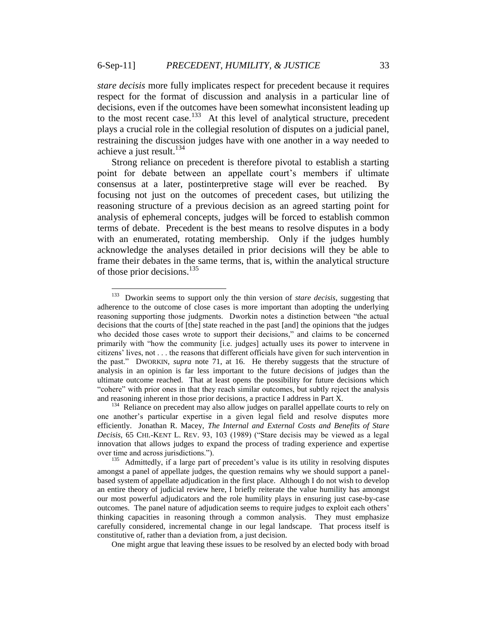$\overline{a}$ 

*stare decisis* more fully implicates respect for precedent because it requires respect for the format of discussion and analysis in a particular line of decisions, even if the outcomes have been somewhat inconsistent leading up to the most recent case.<sup>133</sup> At this level of analytical structure, precedent plays a crucial role in the collegial resolution of disputes on a judicial panel, restraining the discussion judges have with one another in a way needed to achieve a just result. $134$ 

Strong reliance on precedent is therefore pivotal to establish a starting point for debate between an appellate court's members if ultimate consensus at a later, postinterpretive stage will ever be reached. By focusing not just on the outcomes of precedent cases, but utilizing the reasoning structure of a previous decision as an agreed starting point for analysis of ephemeral concepts, judges will be forced to establish common terms of debate. Precedent is the best means to resolve disputes in a body with an enumerated, rotating membership. Only if the judges humbly acknowledge the analyses detailed in prior decisions will they be able to frame their debates in the same terms, that is, within the analytical structure of those prior decisions.<sup>135</sup>

One might argue that leaving these issues to be resolved by an elected body with broad

<sup>133</sup> Dworkin seems to support only the thin version of *stare decisis*, suggesting that adherence to the outcome of close cases is more important than adopting the underlying reasoning supporting those judgments. Dworkin notes a distinction between "the actual decisions that the courts of [the] state reached in the past [and] the opinions that the judges who decided those cases wrote to support their decisions," and claims to be concerned primarily with "how the community [i.e. judges] actually uses its power to intervene in citizens" lives, not . . . the reasons that different officials have given for such intervention in the past." DWORKIN, *supra* note 71, at 16. He thereby suggests that the structure of analysis in an opinion is far less important to the future decisions of judges than the ultimate outcome reached. That at least opens the possibility for future decisions which "cohere" with prior ones in that they reach similar outcomes, but subtly reject the analysis and reasoning inherent in those prior decisions, a practice I address in Part X.

<sup>&</sup>lt;sup>134</sup> Reliance on precedent may also allow judges on parallel appellate courts to rely on one another"s particular expertise in a given legal field and resolve disputes more efficiently. Jonathan R. Macey, *The Internal and External Costs and Benefits of Stare Decisis*, 65 CHI.-KENT L. REV. 93, 103 (1989) ("Stare decisis may be viewed as a legal innovation that allows judges to expand the process of trading experience and expertise over time and across jurisdictions.").

<sup>&</sup>lt;sup>135</sup> Admittedly, if a large part of precedent's value is its utility in resolving disputes amongst a panel of appellate judges, the question remains why we should support a panelbased system of appellate adjudication in the first place. Although I do not wish to develop an entire theory of judicial review here, I briefly reiterate the value humility has amongst our most powerful adjudicators and the role humility plays in ensuring just case-by-case outcomes. The panel nature of adjudication seems to require judges to exploit each others" thinking capacities in reasoning through a common analysis. They must emphasize carefully considered, incremental change in our legal landscape. That process itself is constitutive of, rather than a deviation from, a just decision.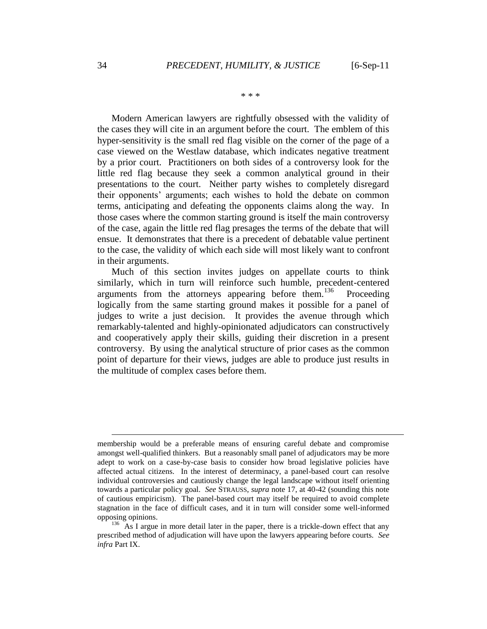\* \* \*

Modern American lawyers are rightfully obsessed with the validity of the cases they will cite in an argument before the court. The emblem of this hyper-sensitivity is the small red flag visible on the corner of the page of a case viewed on the Westlaw database, which indicates negative treatment by a prior court. Practitioners on both sides of a controversy look for the little red flag because they seek a common analytical ground in their presentations to the court. Neither party wishes to completely disregard their opponents" arguments; each wishes to hold the debate on common terms, anticipating and defeating the opponents claims along the way. In those cases where the common starting ground is itself the main controversy of the case, again the little red flag presages the terms of the debate that will ensue. It demonstrates that there is a precedent of debatable value pertinent to the case, the validity of which each side will most likely want to confront in their arguments.

Much of this section invites judges on appellate courts to think similarly, which in turn will reinforce such humble, precedent-centered arguments from the attorneys appearing before them.<sup>136</sup> Proceeding logically from the same starting ground makes it possible for a panel of judges to write a just decision. It provides the avenue through which remarkably-talented and highly-opinionated adjudicators can constructively and cooperatively apply their skills, guiding their discretion in a present controversy. By using the analytical structure of prior cases as the common point of departure for their views, judges are able to produce just results in the multitude of complex cases before them.

membership would be a preferable means of ensuring careful debate and compromise amongst well-qualified thinkers. But a reasonably small panel of adjudicators may be more adept to work on a case-by-case basis to consider how broad legislative policies have affected actual citizens. In the interest of determinacy, a panel-based court can resolve individual controversies and cautiously change the legal landscape without itself orienting towards a particular policy goal. *See* STRAUSS, *supra* note 17, at 40-42 (sounding this note of cautious empiricism). The panel-based court may itself be required to avoid complete stagnation in the face of difficult cases, and it in turn will consider some well-informed opposing opinions.

<sup>&</sup>lt;sup>136</sup> As I argue in more detail later in the paper, there is a trickle-down effect that any prescribed method of adjudication will have upon the lawyers appearing before courts. *See infra* Part IX.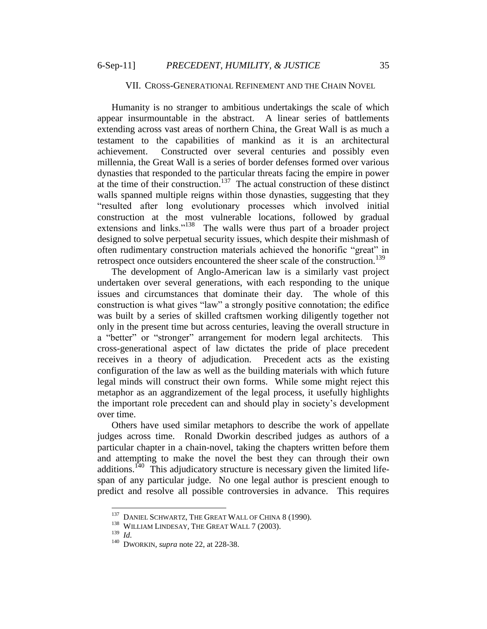#### VII. CROSS-GENERATIONAL REFINEMENT AND THE CHAIN NOVEL

Humanity is no stranger to ambitious undertakings the scale of which appear insurmountable in the abstract. A linear series of battlements extending across vast areas of northern China, the Great Wall is as much a testament to the capabilities of mankind as it is an architectural achievement. Constructed over several centuries and possibly even millennia, the Great Wall is a series of border defenses formed over various dynasties that responded to the particular threats facing the empire in power at the time of their construction.<sup>137</sup> The actual construction of these distinct walls spanned multiple reigns within those dynasties, suggesting that they "resulted after long evolutionary processes which involved initial construction at the most vulnerable locations, followed by gradual extensions and links."<sup>138</sup> The walls were thus part of a broader project designed to solve perpetual security issues, which despite their mishmash of often rudimentary construction materials achieved the honorific "great" in retrospect once outsiders encountered the sheer scale of the construction.<sup>139</sup>

The development of Anglo-American law is a similarly vast project undertaken over several generations, with each responding to the unique issues and circumstances that dominate their day. The whole of this construction is what gives "law" a strongly positive connotation; the edifice was built by a series of skilled craftsmen working diligently together not only in the present time but across centuries, leaving the overall structure in a "better" or "stronger" arrangement for modern legal architects. This cross-generational aspect of law dictates the pride of place precedent receives in a theory of adjudication. Precedent acts as the existing configuration of the law as well as the building materials with which future legal minds will construct their own forms. While some might reject this metaphor as an aggrandizement of the legal process, it usefully highlights the important role precedent can and should play in society"s development over time.

Others have used similar metaphors to describe the work of appellate judges across time. Ronald Dworkin described judges as authors of a particular chapter in a chain-novel, taking the chapters written before them and attempting to make the novel the best they can through their own additions.<sup>140</sup> This adjudicatory structure is necessary given the limited lifespan of any particular judge. No one legal author is prescient enough to predict and resolve all possible controversies in advance. This requires

<sup>&</sup>lt;sup>137</sup> DANIEL SCHWARTZ, THE GREAT WALL OF CHINA 8 (1990).

<sup>&</sup>lt;sup>138</sup> WILLIAM LINDESAY, THE GREAT WALL 7 (2003).

<sup>139</sup> *Id.*

<sup>140</sup> DWORKIN, *supra* note 22, at 228-38.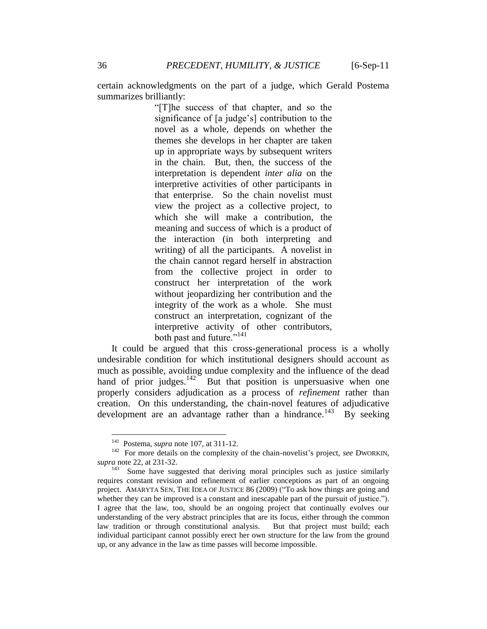certain acknowledgments on the part of a judge, which Gerald Postema summarizes brilliantly:

> "[T]he success of that chapter, and so the significance of [a judge"s] contribution to the novel as a whole, depends on whether the themes she develops in her chapter are taken up in appropriate ways by subsequent writers in the chain. But, then, the success of the interpretation is dependent *inter alia* on the interpretive activities of other participants in that enterprise. So the chain novelist must view the project as a collective project, to which she will make a contribution, the meaning and success of which is a product of the interaction (in both interpreting and writing) of all the participants. A novelist in the chain cannot regard herself in abstraction from the collective project in order to construct her interpretation of the work without jeopardizing her contribution and the integrity of the work as a whole. She must construct an interpretation, cognizant of the interpretive activity of other contributors, both past and future."<sup>141</sup>

It could be argued that this cross-generational process is a wholly undesirable condition for which institutional designers should account as much as possible, avoiding undue complexity and the influence of the dead hand of prior judges.<sup>142</sup> But that position is unpersuasive when one properly considers adjudication as a process of *refinement* rather than creation. On this understanding, the chain-novel features of adjudicative development are an advantage rather than a hindrance.<sup>143</sup> By seeking

<sup>141</sup> Postema, *supra* note 107, at 311-12.

<sup>&</sup>lt;sup>142</sup> For more details on the complexity of the chain-novelist's project, see DWORKIN, *supra* note 22, at 231-32.

 $143$  Some have suggested that deriving moral principles such as justice similarly requires constant revision and refinement of earlier conceptions as part of an ongoing project. AMARYTA SEN, THE IDEA OF JUSTICE 86 (2009) ("To ask how things are going and whether they can be improved is a constant and inescapable part of the pursuit of justice."). I agree that the law, too, should be an ongoing project that continually evolves our understanding of the very abstract principles that are its focus, either through the common law tradition or through constitutional analysis. But that project must build; each individual participant cannot possibly erect her own structure for the law from the ground up, or any advance in the law as time passes will become impossible.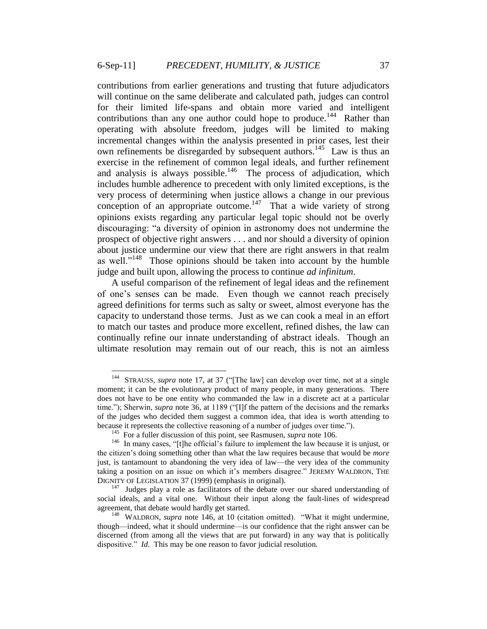contributions from earlier generations and trusting that future adjudicators will continue on the same deliberate and calculated path, judges can control for their limited life-spans and obtain more varied and intelligent contributions than any one author could hope to produce.<sup>144</sup> Rather than operating with absolute freedom, judges will be limited to making incremental changes within the analysis presented in prior cases, lest their own refinements be disregarded by subsequent authors.<sup>145</sup> Law is thus an exercise in the refinement of common legal ideals, and further refinement and analysis is always possible.<sup>146</sup> The process of adjudication, which includes humble adherence to precedent with only limited exceptions, is the very process of determining when justice allows a change in our previous conception of an appropriate outcome.<sup>147</sup> That a wide variety of strong opinions exists regarding any particular legal topic should not be overly discouraging: "a diversity of opinion in astronomy does not undermine the prospect of objective right answers . . . and nor should a diversity of opinion about justice undermine our view that there are right answers in that realm as well."<sup>148</sup> Those opinions should be taken into account by the humble judge and built upon, allowing the process to continue *ad infinitum*.

A useful comparison of the refinement of legal ideas and the refinement of one"s senses can be made. Even though we cannot reach precisely agreed definitions for terms such as salty or sweet, almost everyone has the capacity to understand those terms. Just as we can cook a meal in an effort to match our tastes and produce more excellent, refined dishes, the law can continually refine our innate understanding of abstract ideals. Though an ultimate resolution may remain out of our reach, this is not an aimless

<sup>144</sup> STRAUSS, *supra* note 17, at 37 ("[The law] can develop over time, not at a single moment; it can be the evolutionary product of many people, in many generations. There does not have to be one entity who commanded the law in a discrete act at a particular time."); Sherwin, *supra* note 36, at 1189 ("[I]f the pattern of the decisions and the remarks of the judges who decided them suggest a common idea, that idea is worth attending to because it represents the collective reasoning of a number of judges over time.").

<sup>&</sup>lt;sup>145</sup> For a fuller discussion of this point, see Rasmusen, *supra* note 106.

<sup>&</sup>lt;sup>146</sup> In many cases, "[t]he official's failure to implement the law because it is unjust, or the citizen"s doing something other than what the law requires because that would be *more* just, is tantamount to abandoning the very idea of law—the very idea of the community taking a position on an issue on which it"s members disagree." JEREMY WALDRON, THE DIGNITY OF LEGISLATION 37 (1999) (emphasis in original).

<sup>&</sup>lt;sup>147</sup> Judges play a role as facilitators of the debate over our shared understanding of social ideals, and a vital one. Without their input along the fault-lines of widespread agreement, that debate would hardly get started.

<sup>&</sup>lt;sup>148</sup> WALDRON, *supra* note 146, at 10 (citation omitted). "What it might undermine, though—indeed, what it should undermine—is our confidence that the right answer can be discerned (from among all the views that are put forward) in any way that is politically dispositive." *Id.* This may be one reason to favor judicial resolution.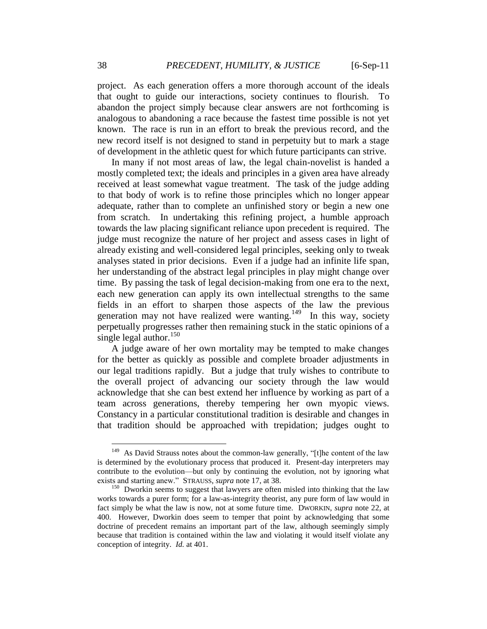project. As each generation offers a more thorough account of the ideals that ought to guide our interactions, society continues to flourish. To abandon the project simply because clear answers are not forthcoming is analogous to abandoning a race because the fastest time possible is not yet known. The race is run in an effort to break the previous record, and the new record itself is not designed to stand in perpetuity but to mark a stage of development in the athletic quest for which future participants can strive.

In many if not most areas of law, the legal chain-novelist is handed a mostly completed text; the ideals and principles in a given area have already received at least somewhat vague treatment. The task of the judge adding to that body of work is to refine those principles which no longer appear adequate, rather than to complete an unfinished story or begin a new one from scratch. In undertaking this refining project, a humble approach towards the law placing significant reliance upon precedent is required. The judge must recognize the nature of her project and assess cases in light of already existing and well-considered legal principles, seeking only to tweak analyses stated in prior decisions. Even if a judge had an infinite life span, her understanding of the abstract legal principles in play might change over time. By passing the task of legal decision-making from one era to the next, each new generation can apply its own intellectual strengths to the same fields in an effort to sharpen those aspects of the law the previous generation may not have realized were wanting.<sup>149</sup> In this way, society perpetually progresses rather then remaining stuck in the static opinions of a single legal author. $150$ 

A judge aware of her own mortality may be tempted to make changes for the better as quickly as possible and complete broader adjustments in our legal traditions rapidly. But a judge that truly wishes to contribute to the overall project of advancing our society through the law would acknowledge that she can best extend her influence by working as part of a team across generations, thereby tempering her own myopic views. Constancy in a particular constitutional tradition is desirable and changes in that tradition should be approached with trepidation; judges ought to

 $149$  As David Strauss notes about the common-law generally, "[t]he content of the law is determined by the evolutionary process that produced it. Present-day interpreters may contribute to the evolution—but only by continuing the evolution, not by ignoring what exists and starting anew." STRAUSS, *supra* note 17, at 38.

<sup>&</sup>lt;sup>150</sup> Dworkin seems to suggest that lawyers are often misled into thinking that the law works towards a purer form; for a law-as-integrity theorist, any pure form of law would in fact simply be what the law is now, not at some future time. DWORKIN, *supra* note 22, at 400. However, Dworkin does seem to temper that point by acknowledging that some doctrine of precedent remains an important part of the law, although seemingly simply because that tradition is contained within the law and violating it would itself violate any conception of integrity. *Id.* at 401.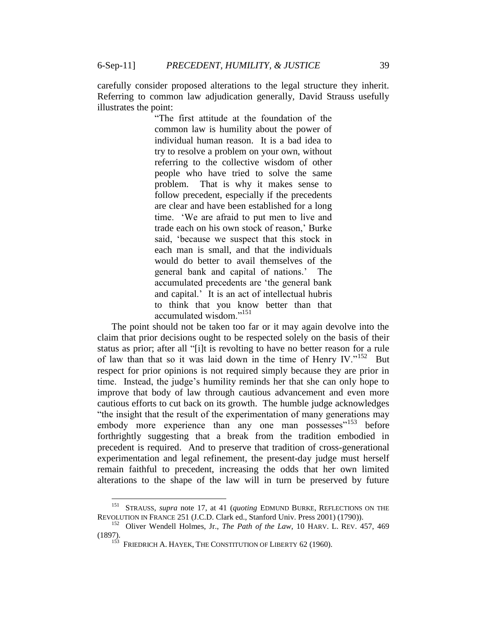carefully consider proposed alterations to the legal structure they inherit. Referring to common law adjudication generally, David Strauss usefully illustrates the point:

> "The first attitude at the foundation of the common law is humility about the power of individual human reason. It is a bad idea to try to resolve a problem on your own, without referring to the collective wisdom of other people who have tried to solve the same problem. That is why it makes sense to follow precedent, especially if the precedents are clear and have been established for a long time. "We are afraid to put men to live and trade each on his own stock of reason," Burke said, "because we suspect that this stock in each man is small, and that the individuals would do better to avail themselves of the general bank and capital of nations." The accumulated precedents are "the general bank and capital." It is an act of intellectual hubris to think that you know better than that accumulated wisdom."<sup>151</sup>

The point should not be taken too far or it may again devolve into the claim that prior decisions ought to be respected solely on the basis of their status as prior; after all "[i]t is revolting to have no better reason for a rule of law than that so it was laid down in the time of Henry IV."<sup>152</sup> But respect for prior opinions is not required simply because they are prior in time. Instead, the judge"s humility reminds her that she can only hope to improve that body of law through cautious advancement and even more cautious efforts to cut back on its growth. The humble judge acknowledges "the insight that the result of the experimentation of many generations may embody more experience than any one man possesses"<sup>153</sup> before forthrightly suggesting that a break from the tradition embodied in precedent is required. And to preserve that tradition of cross-generational experimentation and legal refinement, the present-day judge must herself remain faithful to precedent, increasing the odds that her own limited alterations to the shape of the law will in turn be preserved by future

 151 STRAUSS, *supra* note 17, at 41 (*quoting* EDMUND BURKE, REFLECTIONS ON THE REVOLUTION IN FRANCE 251 (J.C.D. Clark ed., Stanford Univ. Press 2001) (1790)).

<sup>&</sup>lt;sup>152</sup> Oliver Wendell Holmes, Jr., *The Path of the Law*, 10 HARV. L. REV. 457, 469 (1897). 153 FRIEDRICH A. HAYEK, THE CONSTITUTION OF LIBERTY 62 (1960).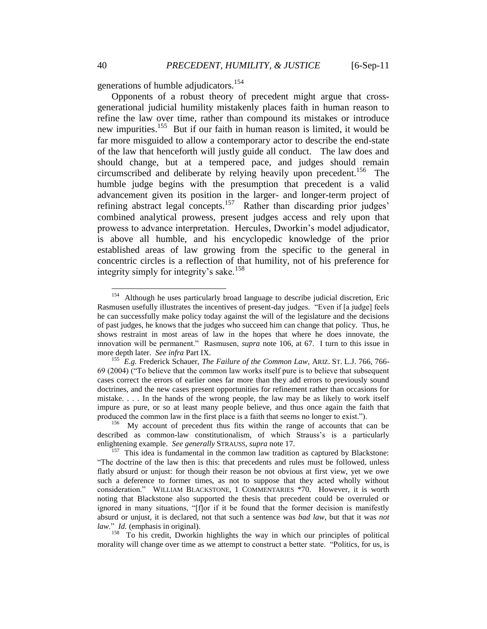generations of humble adjudicators.<sup>154</sup>

Opponents of a robust theory of precedent might argue that crossgenerational judicial humility mistakenly places faith in human reason to refine the law over time, rather than compound its mistakes or introduce new impurities.<sup>155</sup> But if our faith in human reason is limited, it would be far more misguided to allow a contemporary actor to describe the end-state of the law that henceforth will justly guide all conduct. The law does and should change, but at a tempered pace, and judges should remain circumscribed and deliberate by relying heavily upon precedent.<sup>156</sup> The humble judge begins with the presumption that precedent is a valid advancement given its position in the larger- and longer-term project of refining abstract legal concepts.<sup>157</sup> Rather than discarding prior judges' combined analytical prowess, present judges access and rely upon that prowess to advance interpretation. Hercules, Dworkin"s model adjudicator, is above all humble, and his encyclopedic knowledge of the prior established areas of law growing from the specific to the general in concentric circles is a reflection of that humility, not of his preference for integrity simply for integrity's sake.<sup>158</sup>

<sup>154</sup> Although he uses particularly broad language to describe judicial discretion, Eric Rasmusen usefully illustrates the incentives of present-day judges. "Even if [a judge] feels he can successfully make policy today against the will of the legislature and the decisions of past judges, he knows that the judges who succeed him can change that policy. Thus, he shows restraint in most areas of law in the hopes that where he does innovate, the innovation will be permanent." Rasmusen, *supra* note 106, at 67. I turn to this issue in more depth later. *See infra* Part IX.

<sup>155</sup> *E.g.* Frederick Schauer, *The Failure of the Common Law*, ARIZ. ST. L.J. 766, 766- 69 (2004) ("To believe that the common law works itself pure is to believe that subsequent cases correct the errors of earlier ones far more than they add errors to previously sound doctrines, and the new cases present opportunities for refinement rather than occasions for mistake. . . . In the hands of the wrong people, the law may be as likely to work itself impure as pure, or so at least many people believe, and thus once again the faith that produced the common law in the first place is a faith that seems no longer to exist.").

<sup>156</sup> My account of precedent thus fits within the range of accounts that can be described as common-law constitutionalism, of which Strauss"s is a particularly enlightening example. *See generally* STRAUSS, *supra* note 17.

<sup>&</sup>lt;sup>157</sup> This idea is fundamental in the common law tradition as captured by Blackstone: "The doctrine of the law then is this: that precedents and rules must be followed, unless flatly absurd or unjust: for though their reason be not obvious at first view, yet we owe such a deference to former times, as not to suppose that they acted wholly without consideration." WILLIAM BLACKSTONE, 1 COMMENTARIES \*70. However, it is worth noting that Blackstone also supported the thesis that precedent could be overruled or ignored in many situations, "[f]or if it be found that the former decision is manifestly absurd or unjust, it is declared, not that such a sentence was *bad law*, but that it was *not law*." *Id.* (emphasis in original).

<sup>&</sup>lt;sup>158</sup> To his credit, Dworkin highlights the way in which our principles of political morality will change over time as we attempt to construct a better state. "Politics, for us, is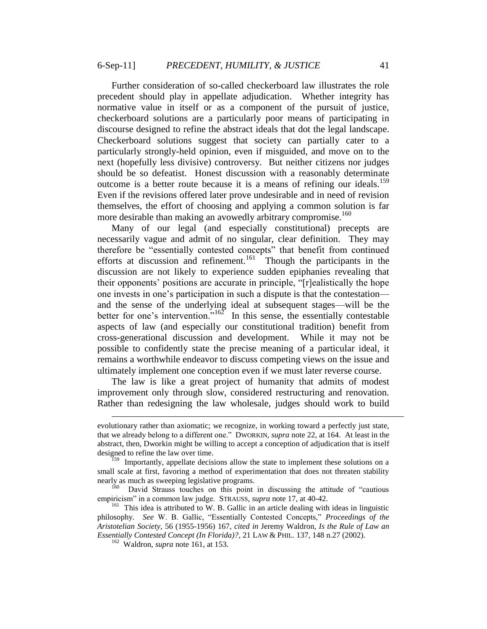Further consideration of so-called checkerboard law illustrates the role precedent should play in appellate adjudication. Whether integrity has normative value in itself or as a component of the pursuit of justice, checkerboard solutions are a particularly poor means of participating in discourse designed to refine the abstract ideals that dot the legal landscape. Checkerboard solutions suggest that society can partially cater to a particularly strongly-held opinion, even if misguided, and move on to the next (hopefully less divisive) controversy. But neither citizens nor judges should be so defeatist. Honest discussion with a reasonably determinate outcome is a better route because it is a means of refining our ideals.<sup>159</sup> Even if the revisions offered later prove undesirable and in need of revision themselves, the effort of choosing and applying a common solution is far more desirable than making an avowedly arbitrary compromise.<sup>160</sup>

Many of our legal (and especially constitutional) precepts are necessarily vague and admit of no singular, clear definition. They may therefore be "essentially contested concepts" that benefit from continued efforts at discussion and refinement.<sup>161</sup> Though the participants in the discussion are not likely to experience sudden epiphanies revealing that their opponents" positions are accurate in principle, "[r]ealistically the hope one invests in one"s participation in such a dispute is that the contestation and the sense of the underlying ideal at subsequent stages—will be the better for one's intervention.<sup>"162</sup> In this sense, the essentially contestable aspects of law (and especially our constitutional tradition) benefit from cross-generational discussion and development. While it may not be possible to confidently state the precise meaning of a particular ideal, it remains a worthwhile endeavor to discuss competing views on the issue and ultimately implement one conception even if we must later reverse course.

The law is like a great project of humanity that admits of modest improvement only through slow, considered restructuring and renovation. Rather than redesigning the law wholesale, judges should work to build

evolutionary rather than axiomatic; we recognize, in working toward a perfectly just state, that we already belong to a different one." DWORKIN, *supra* note 22, at 164. At least in the abstract, then, Dworkin might be willing to accept a conception of adjudication that is itself designed to refine the law over time.

<sup>&</sup>lt;sup>159</sup> Importantly, appellate decisions allow the state to implement these solutions on a small scale at first, favoring a method of experimentation that does not threaten stability nearly as much as sweeping legislative programs.

<sup>&</sup>lt;sup>160</sup> David Strauss touches on this point in discussing the attitude of "cautious" empiricism" in a common law judge. STRAUSS, *supra* note 17, at 40-42.

<sup>&</sup>lt;sup>161</sup> This idea is attributed to W. B. Gallic in an article dealing with ideas in linguistic philosophy. *See* W. B. Gallic, "Essentially Contested Concepts," *Proceedings of the Aristotelian Society*, 56 (1955-1956) 167, *cited in* Jeremy Waldron, *Is the Rule of Law an Essentially Contested Concept (In Florida)?*, 21 LAW & PHIL. 137, 148 n.27 (2002).

<sup>162</sup> Waldron, *supra* note 161, at 153.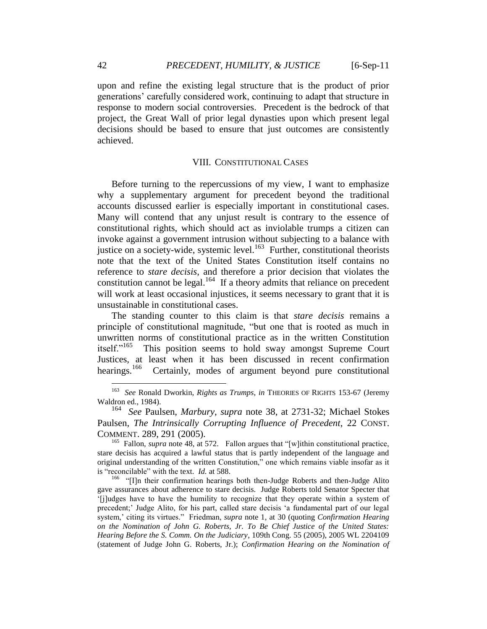upon and refine the existing legal structure that is the product of prior generations" carefully considered work, continuing to adapt that structure in response to modern social controversies. Precedent is the bedrock of that project, the Great Wall of prior legal dynasties upon which present legal decisions should be based to ensure that just outcomes are consistently achieved.

### VIII. CONSTITUTIONAL CASES

Before turning to the repercussions of my view, I want to emphasize why a supplementary argument for precedent beyond the traditional accounts discussed earlier is especially important in constitutional cases. Many will contend that any unjust result is contrary to the essence of constitutional rights, which should act as inviolable trumps a citizen can invoke against a government intrusion without subjecting to a balance with justice on a society-wide, systemic level. $163$  Further, constitutional theorists note that the text of the United States Constitution itself contains no reference to *stare decisis*, and therefore a prior decision that violates the constitution cannot be legal.<sup>164</sup> If a theory admits that reliance on precedent will work at least occasional injustices, it seems necessary to grant that it is unsustainable in constitutional cases.

The standing counter to this claim is that *stare decisis* remains a principle of constitutional magnitude, "but one that is rooted as much in unwritten norms of constitutional practice as in the written Constitution itself."<sup>165</sup> This position seems to hold sway amongst Supreme Court Justices, at least when it has been discussed in recent confirmation hearings. $166$ Certainly, modes of argument beyond pure constitutional

 163 *See* Ronald Dworkin, *Rights as Trumps*, *in* THEORIES OF RIGHTS 153-67 (Jeremy Waldron ed., 1984).

<sup>164</sup> *See* Paulsen, *Marbury*, *supra* note 38, at 2731-32; Michael Stokes Paulsen, *The Intrinsically Corrupting Influence of Precedent*, 22 CONST. COMMENT. 289, 291 (2005).

<sup>&</sup>lt;sup>165</sup> Fallon, *supra* note 48, at 572. Fallon argues that "[w]ithin constitutional practice, stare decisis has acquired a lawful status that is partly independent of the language and original understanding of the written Constitution," one which remains viable insofar as it is "reconcilable" with the text. *Id.* at 588.

<sup>&</sup>lt;sup>166</sup> "[I]n their confirmation hearings both then-Judge Roberts and then-Judge Alito gave assurances about adherence to stare decisis. Judge Roberts told Senator Specter that "[j]udges have to have the humility to recognize that they operate within a system of precedent;" Judge Alito, for his part, called stare decisis "a fundamental part of our legal system," citing its virtues." Friedman, *supra* note 1, at 30 (quoting *Confirmation Hearing on the Nomination of John G. Roberts, Jr. To Be Chief Justice of the United States: Hearing Before the S. Comm. On the Judiciary*, 109th Cong. 55 (2005), 2005 WL 2204109 (statement of Judge John G. Roberts, Jr.); *Confirmation Hearing on the Nomination of*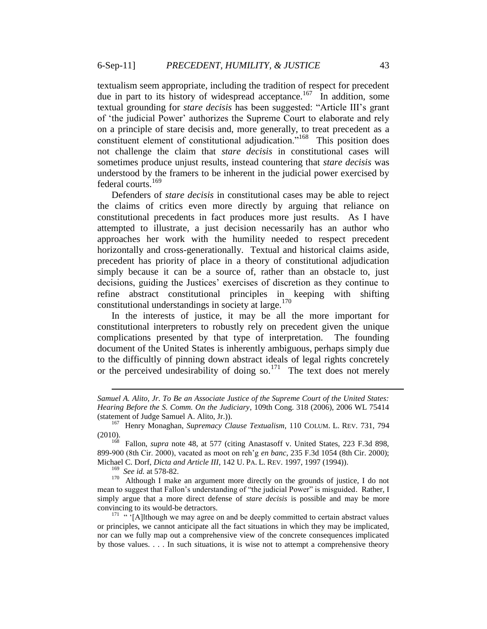textualism seem appropriate, including the tradition of respect for precedent due in part to its history of widespread acceptance.<sup>167</sup> In addition, some textual grounding for *stare decisis* has been suggested: "Article III"s grant of "the judicial Power" authorizes the Supreme Court to elaborate and rely on a principle of stare decisis and, more generally, to treat precedent as a constituent element of constitutional adjudication."<sup>168</sup> This position does not challenge the claim that *stare decisis* in constitutional cases will sometimes produce unjust results, instead countering that *stare decisis* was understood by the framers to be inherent in the judicial power exercised by federal courts.<sup>169</sup>

Defenders of *stare decisis* in constitutional cases may be able to reject the claims of critics even more directly by arguing that reliance on constitutional precedents in fact produces more just results. As I have attempted to illustrate, a just decision necessarily has an author who approaches her work with the humility needed to respect precedent horizontally and cross-generationally. Textual and historical claims aside, precedent has priority of place in a theory of constitutional adjudication simply because it can be a source of, rather than an obstacle to, just decisions, guiding the Justices" exercises of discretion as they continue to refine abstract constitutional principles in keeping with shifting constitutional understandings in society at large. $170$ 

In the interests of justice, it may be all the more important for constitutional interpreters to robustly rely on precedent given the unique complications presented by that type of interpretation. The founding document of the United States is inherently ambiguous, perhaps simply due to the difficultly of pinning down abstract ideals of legal rights concretely or the perceived undesirability of doing so.<sup>171</sup> The text does not merely

*Samuel A. Alito, Jr. To Be an Associate Justice of the Supreme Court of the United States: Hearing Before the S. Comm. On the Judiciary*, 109th Cong. 318 (2006), 2006 WL 75414 (statement of Judge Samuel A. Alito, Jr.)).

<sup>167</sup> Henry Monaghan, *Supremacy Clause Textualism*, 110 COLUM. L. REV. 731, 794 (2010).

<sup>&</sup>lt;sup>168</sup> Fallon, *supra* note 48, at 577 (citing Anastasoff v. United States, 223 F.3d 898, 899-900 (8th Cir. 2000), vacated as moot on reh"g *en banc*, 235 F.3d 1054 (8th Cir. 2000); Michael C. Dorf, *Dicta and Article III*, 142 U. PA. L. REV. 1997, 1997 (1994)).

<sup>169</sup> *See id.* at 578-82.

 $170$  Although I make an argument more directly on the grounds of justice, I do not mean to suggest that Fallon's understanding of "the judicial Power" is misguided. Rather, I simply argue that a more direct defense of *stare decisis* is possible and may be more convincing to its would-be detractors.

 $171$  " [A]lthough we may agree on and be deeply committed to certain abstract values or principles, we cannot anticipate all the fact situations in which they may be implicated, nor can we fully map out a comprehensive view of the concrete consequences implicated by those values. . . . In such situations, it is wise not to attempt a comprehensive theory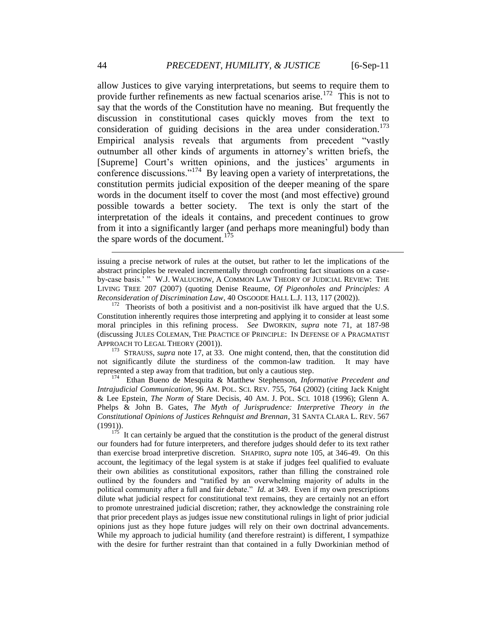allow Justices to give varying interpretations, but seems to require them to provide further refinements as new factual scenarios arise.<sup>172</sup> This is not to say that the words of the Constitution have no meaning. But frequently the discussion in constitutional cases quickly moves from the text to consideration of guiding decisions in the area under consideration. $173$ Empirical analysis reveals that arguments from precedent "vastly outnumber all other kinds of arguments in attorney"s written briefs, the [Supreme] Court's written opinions, and the justices' arguments in conference discussions."<sup>174</sup> By leaving open a variety of interpretations, the constitution permits judicial exposition of the deeper meaning of the spare words in the document itself to cover the most (and most effective) ground possible towards a better society. The text is only the start of the interpretation of the ideals it contains, and precedent continues to grow from it into a significantly larger (and perhaps more meaningful) body than the spare words of the document.<sup>175</sup>

<sup>173</sup> STRAUSS, *supra* note 17, at 33. One might contend, then, that the constitution did not significantly dilute the sturdiness of the common-law tradition. It may have represented a step away from that tradition, but only a cautious step.

174 Ethan Bueno de Mesquita & Matthew Stephenson, *Informative Precedent and Intrajudicial Communication*, 96 AM. POL. SCI. REV. 755, 764 (2002) (citing Jack Knight & Lee Epstein, *The Norm of* Stare Decisis, 40 AM. J. POL. SCI. 1018 (1996); Glenn A. Phelps & John B. Gates, *The Myth of Jurisprudence: Interpretive Theory in the Constitutional Opinions of Justices Rehnquist and Brennan*, 31 SANTA CLARA L. REV. 567 (1991)).

 $1^{175}$  It can certainly be argued that the constitution is the product of the general distrust our founders had for future interpreters, and therefore judges should defer to its text rather than exercise broad interpretive discretion. SHAPIRO, *supra* note 105, at 346-49. On this account, the legitimacy of the legal system is at stake if judges feel qualified to evaluate their own abilities as constitutional expositors, rather than filling the constrained role outlined by the founders and "ratified by an overwhelming majority of adults in the political community after a full and fair debate." *Id.* at 349. Even if my own prescriptions dilute what judicial respect for constitutional text remains, they are certainly not an effort to promote unrestrained judicial discretion; rather, they acknowledge the constraining role that prior precedent plays as judges issue new constitutional rulings in light of prior judicial opinions just as they hope future judges will rely on their own doctrinal advancements. While my approach to judicial humility (and therefore restraint) is different, I sympathize with the desire for further restraint than that contained in a fully Dworkinian method of

issuing a precise network of rules at the outset, but rather to let the implications of the abstract principles be revealed incrementally through confronting fact situations on a caseby-case basis." " W.J. WALUCHOW, A COMMON LAW THEORY OF JUDICIAL REVIEW: THE LIVING TREE 207 (2007) (quoting Denise Reaume, *Of Pigeonholes and Principles: A Reconsideration of Discrimination Law*, 40 OSGOODE HALL L.J. 113, 117 (2002)).

 $172$  Theorists of both a positivist and a non-positivist ilk have argued that the U.S. Constitution inherently requires those interpreting and applying it to consider at least some moral principles in this refining process. *See* DWORKIN, *supra* note 71, at 187-98 (discussing JULES COLEMAN, THE PRACTICE OF PRINCIPLE: IN DEFENSE OF A PRAGMATIST APPROACH TO LEGAL THEORY (2001)).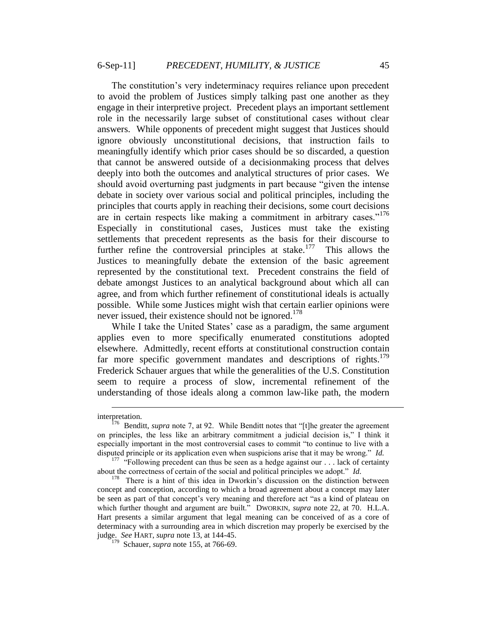The constitution's very indeterminacy requires reliance upon precedent to avoid the problem of Justices simply talking past one another as they engage in their interpretive project. Precedent plays an important settlement role in the necessarily large subset of constitutional cases without clear answers. While opponents of precedent might suggest that Justices should ignore obviously unconstitutional decisions, that instruction fails to meaningfully identify which prior cases should be so discarded, a question that cannot be answered outside of a decisionmaking process that delves deeply into both the outcomes and analytical structures of prior cases. We should avoid overturning past judgments in part because "given the intense debate in society over various social and political principles, including the principles that courts apply in reaching their decisions, some court decisions are in certain respects like making a commitment in arbitrary cases."<sup>176</sup> Especially in constitutional cases, Justices must take the existing settlements that precedent represents as the basis for their discourse to further refine the controversial principles at stake.<sup>177</sup> This allows the Justices to meaningfully debate the extension of the basic agreement represented by the constitutional text. Precedent constrains the field of debate amongst Justices to an analytical background about which all can agree, and from which further refinement of constitutional ideals is actually possible. While some Justices might wish that certain earlier opinions were never issued, their existence should not be ignored.<sup>178</sup>

While I take the United States' case as a paradigm, the same argument applies even to more specifically enumerated constitutions adopted elsewhere. Admittedly, recent efforts at constitutional construction contain far more specific government mandates and descriptions of rights. $179$ Frederick Schauer argues that while the generalities of the U.S. Constitution seem to require a process of slow, incremental refinement of the understanding of those ideals along a common law-like path, the modern

interpretation. 176 Benditt, *supra* note 7, at 92. While Benditt notes that "[t]he greater the agreement on principles, the less like an arbitrary commitment a judicial decision is," I think it especially important in the most controversial cases to commit "to continue to live with a disputed principle or its application even when suspicions arise that it may be wrong." *Id.*

<sup>&</sup>lt;sup>177</sup> "Following precedent can thus be seen as a hedge against our . . . lack of certainty about the correctness of certain of the social and political principles we adopt." *Id.*

<sup>&</sup>lt;sup>178</sup> There is a hint of this idea in Dworkin's discussion on the distinction between concept and conception, according to which a broad agreement about a concept may later be seen as part of that concept"s very meaning and therefore act "as a kind of plateau on which further thought and argument are built." DWORKIN, *supra* note 22, at 70. H.L.A. Hart presents a similar argument that legal meaning can be conceived of as a core of determinacy with a surrounding area in which discretion may properly be exercised by the judge. *See* HART, *supra* note 13, at 144-45.

<sup>179</sup> Schauer, *supra* note 155, at 766-69.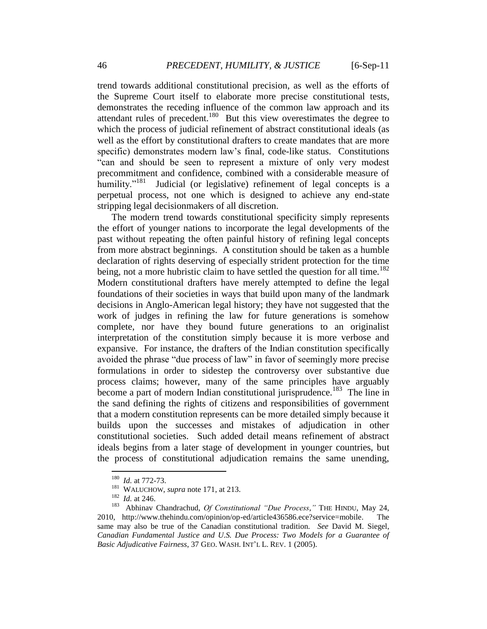trend towards additional constitutional precision, as well as the efforts of the Supreme Court itself to elaborate more precise constitutional tests, demonstrates the receding influence of the common law approach and its attendant rules of precedent.<sup>180</sup> But this view overestimates the degree to which the process of judicial refinement of abstract constitutional ideals (as well as the effort by constitutional drafters to create mandates that are more specific) demonstrates modern law"s final, code-like status. Constitutions "can and should be seen to represent a mixture of only very modest precommitment and confidence, combined with a considerable measure of humility."<sup>181</sup> Judicial (or legislative) refinement of legal concepts is a perpetual process, not one which is designed to achieve any end-state stripping legal decisionmakers of all discretion.

The modern trend towards constitutional specificity simply represents the effort of younger nations to incorporate the legal developments of the past without repeating the often painful history of refining legal concepts from more abstract beginnings. A constitution should be taken as a humble declaration of rights deserving of especially strident protection for the time being, not a more hubristic claim to have settled the question for all time.<sup>182</sup> Modern constitutional drafters have merely attempted to define the legal foundations of their societies in ways that build upon many of the landmark decisions in Anglo-American legal history; they have not suggested that the work of judges in refining the law for future generations is somehow complete, nor have they bound future generations to an originalist interpretation of the constitution simply because it is more verbose and expansive. For instance, the drafters of the Indian constitution specifically avoided the phrase "due process of law" in favor of seemingly more precise formulations in order to sidestep the controversy over substantive due process claims; however, many of the same principles have arguably become a part of modern Indian constitutional jurisprudence.<sup>183</sup> The line in the sand defining the rights of citizens and responsibilities of government that a modern constitution represents can be more detailed simply because it builds upon the successes and mistakes of adjudication in other constitutional societies. Such added detail means refinement of abstract ideals begins from a later stage of development in younger countries, but the process of constitutional adjudication remains the same unending,

 180 *Id.* at 772-73.

<sup>&</sup>lt;sup>181</sup> WALUCHOW, *supra* note 171, at 213.

<sup>182</sup> *Id.* at 246.

<sup>&</sup>lt;sup>183</sup> Abhinav Chandrachud, *Of Constitutional "Due Process*," THE HINDU, May 24, 2010, http://www.thehindu.com/opinion/op-ed/article436586.ece?service=mobile. The same may also be true of the Canadian constitutional tradition. *See* David M. Siegel, *Canadian Fundamental Justice and U.S. Due Process: Two Models for a Guarantee of Basic Adjudicative Fairness*, 37 GEO. WASH. INT"L L. REV. 1 (2005).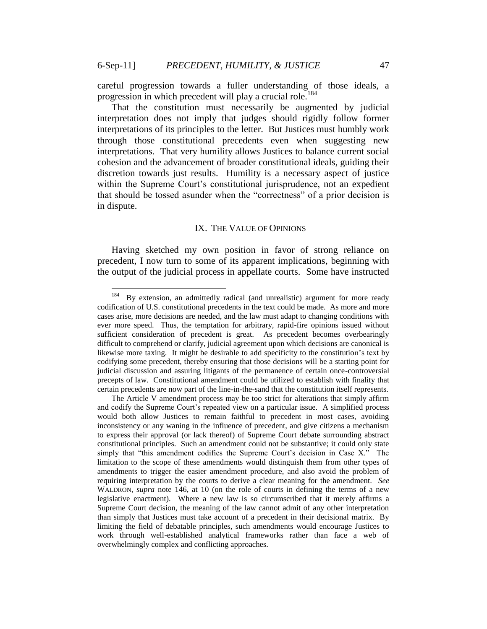careful progression towards a fuller understanding of those ideals, a progression in which precedent will play a crucial role.<sup>184</sup>

That the constitution must necessarily be augmented by judicial interpretation does not imply that judges should rigidly follow former interpretations of its principles to the letter. But Justices must humbly work through those constitutional precedents even when suggesting new interpretations. That very humility allows Justices to balance current social cohesion and the advancement of broader constitutional ideals, guiding their discretion towards just results. Humility is a necessary aspect of justice within the Supreme Court's constitutional jurisprudence, not an expedient that should be tossed asunder when the "correctness" of a prior decision is in dispute.

#### IX. THE VALUE OF OPINIONS

Having sketched my own position in favor of strong reliance on precedent, I now turn to some of its apparent implications, beginning with the output of the judicial process in appellate courts. Some have instructed

 184 By extension, an admittedly radical (and unrealistic) argument for more ready codification of U.S. constitutional precedents in the text could be made. As more and more cases arise, more decisions are needed, and the law must adapt to changing conditions with ever more speed. Thus, the temptation for arbitrary, rapid-fire opinions issued without sufficient consideration of precedent is great. As precedent becomes overbearingly difficult to comprehend or clarify, judicial agreement upon which decisions are canonical is likewise more taxing. It might be desirable to add specificity to the constitution"s text by codifying some precedent, thereby ensuring that those decisions will be a starting point for judicial discussion and assuring litigants of the permanence of certain once-controversial precepts of law. Constitutional amendment could be utilized to establish with finality that certain precedents are now part of the line-in-the-sand that the constitution itself represents.

The Article V amendment process may be too strict for alterations that simply affirm and codify the Supreme Court"s repeated view on a particular issue. A simplified process would both allow Justices to remain faithful to precedent in most cases, avoiding inconsistency or any waning in the influence of precedent, and give citizens a mechanism to express their approval (or lack thereof) of Supreme Court debate surrounding abstract constitutional principles. Such an amendment could not be substantive; it could only state simply that "this amendment codifies the Supreme Court's decision in Case X." The limitation to the scope of these amendments would distinguish them from other types of amendments to trigger the easier amendment procedure, and also avoid the problem of requiring interpretation by the courts to derive a clear meaning for the amendment. *See*  WALDRON, *supra* note 146, at 10 (on the role of courts in defining the terms of a new legislative enactment). Where a new law is so circumscribed that it merely affirms a Supreme Court decision, the meaning of the law cannot admit of any other interpretation than simply that Justices must take account of a precedent in their decisional matrix. By limiting the field of debatable principles, such amendments would encourage Justices to work through well-established analytical frameworks rather than face a web of overwhelmingly complex and conflicting approaches.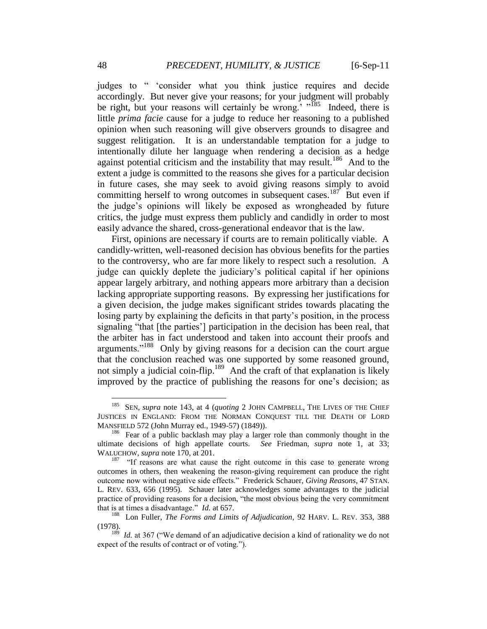judges to " "consider what you think justice requires and decide accordingly. But never give your reasons; for your judgment will probably be right, but your reasons will certainly be wrong.<sup>"</sup> "<sup>185</sup> Indeed, there is little *prima facie* cause for a judge to reduce her reasoning to a published opinion when such reasoning will give observers grounds to disagree and suggest relitigation. It is an understandable temptation for a judge to intentionally dilute her language when rendering a decision as a hedge against potential criticism and the instability that may result.<sup>186</sup> And to the extent a judge is committed to the reasons she gives for a particular decision in future cases, she may seek to avoid giving reasons simply to avoid committing herself to wrong outcomes in subsequent cases.<sup>187</sup> But even if the judge"s opinions will likely be exposed as wrongheaded by future critics, the judge must express them publicly and candidly in order to most easily advance the shared, cross-generational endeavor that is the law.

First, opinions are necessary if courts are to remain politically viable. A candidly-written, well-reasoned decision has obvious benefits for the parties to the controversy, who are far more likely to respect such a resolution. A judge can quickly deplete the judiciary"s political capital if her opinions appear largely arbitrary, and nothing appears more arbitrary than a decision lacking appropriate supporting reasons. By expressing her justifications for a given decision, the judge makes significant strides towards placating the losing party by explaining the deficits in that party"s position, in the process signaling "that [the parties"] participation in the decision has been real, that the arbiter has in fact understood and taken into account their proofs and arguments."<sup>188</sup> Only by giving reasons for a decision can the court argue that the conclusion reached was one supported by some reasoned ground, not simply a judicial coin-flip.<sup>189</sup> And the craft of that explanation is likely improved by the practice of publishing the reasons for one"s decision; as

<sup>185</sup>  SEN, *supra* note 143, at 4 (*quoting* 2 JOHN CAMPBELL, THE LIVES OF THE CHIEF JUSTICES IN ENGLAND: FROM THE NORMAN CONQUEST TILL THE DEATH OF LORD MANSFIELD 572 (John Murray ed., 1949-57) (1849)).

<sup>&</sup>lt;sup>186</sup> Fear of a public backlash may play a larger role than commonly thought in the ultimate decisions of high appellate courts. *See* Friedman, *supra* note 1, at 33; WALUCHOW, *supra* note 170, at 201.

<sup>&</sup>lt;sup>187</sup> "If reasons are what cause the right outcome in this case to generate wrong outcomes in others, then weakening the reason-giving requirement can produce the right outcome now without negative side effects." Frederick Schauer, *Giving Reasons*, 47 STAN. L. REV. 633, 656 (1995). Schauer later acknowledges some advantages to the judicial practice of providing reasons for a decision, "the most obvious being the very commitment that is at times a disadvantage." *Id.* at 657.

<sup>188</sup> Lon Fuller, *The Forms and Limits of Adjudication*, 92 HARV. L. REV. 353, 388 (1978).

<sup>&</sup>lt;sup>189</sup> *Id.* at 367 ("We demand of an adjudicative decision a kind of rationality we do not expect of the results of contract or of voting.").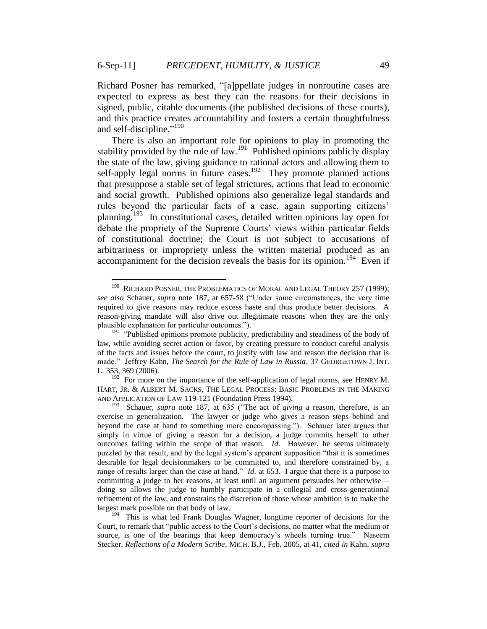Richard Posner has remarked, "[a]ppellate judges in nonroutine cases are expected to express as best they can the reasons for their decisions in signed, public, citable documents (the published decisions of these courts), and this practice creates accountability and fosters a certain thoughtfulness and self-discipline."<sup>190</sup>

There is also an important role for opinions to play in promoting the stability provided by the rule of law.<sup>191</sup> Published opinions publicly display the state of the law, giving guidance to rational actors and allowing them to self-apply legal norms in future cases.<sup>192</sup> They promote planned actions that presuppose a stable set of legal strictures, actions that lead to economic and social growth. Published opinions also generalize legal standards and rules beyond the particular facts of a case, again supporting citizens' planning.<sup>193</sup> In constitutional cases, detailed written opinions lay open for debate the propriety of the Supreme Courts' views within particular fields of constitutional doctrine; the Court is not subject to accusations of arbitrariness or impropriety unless the written material produced as an accompaniment for the decision reveals the basis for its opinion.<sup>194</sup> Even if

<sup>190</sup> RICHARD POSNER, THE PROBLEMATICS OF MORAL AND LEGAL THEORY 257 (1999); *see also* Schauer, *supra* note 187, at 657-58 ("Under some circumstances, the very time required to give reasons may reduce excess haste and thus produce better decisions. A reason-giving mandate will also drive out illegitimate reasons when they are the only plausible explanation for particular outcomes.").

<sup>&</sup>lt;sup>191</sup> "Published opinions promote publicity, predictability and steadiness of the body of law, while avoiding secret action or favor, by creating pressure to conduct careful analysis of the facts and issues before the court, to justify with law and reason the decision that is made." Jeffrey Kahn, *The Search for the Rule of Law in Russia*, 37 GEORGETOWN J. INT. L. 353, 369 (2006).

<sup>&</sup>lt;sup>192</sup> For more on the importance of the self-application of legal norms, see HENRY M. HART, JR. & ALBERT M. SACKS, THE LEGAL PROCESS: BASIC PROBLEMS IN THE MAKING AND APPLICATION OF LAW 119-121 (Foundation Press 1994).

<sup>193</sup> Schauer, *supra* note 187, at 635 ("The act of *giving* a reason, therefore, is an exercise in generalization. The lawyer or judge who gives a reason steps behind and beyond the case at hand to something more encompassing."). Schauer later argues that simply in virtue of giving a reason for a decision, a judge commits herself to other outcomes falling within the scope of that reason. *Id.* However, he seems ultimately puzzled by that result, and by the legal system"s apparent supposition "that it is sometimes desirable for legal decisionmakers to be committed to, and therefore constrained by, a range of results larger than the case at hand." *Id.* at 653. I argue that there is a purpose to committing a judge to her reasons, at least until an argument persuades her otherwise doing so allows the judge to humbly participate in a collegial and cross-generational refinement of the law, and constrains the discretion of those whose ambition is to make the largest mark possible on that body of law.

<sup>&</sup>lt;sup>194</sup> This is what led Frank Douglas Wagner, longtime reporter of decisions for the Court, to remark that "public access to the Court"s decisions, no matter what the medium or source, is one of the bearings that keep democracy's wheels turning true." Naseem Stecker, *Reflections of a Modern Scribe*, MICH. B.J., Feb. 2005, at 41, *cited in* Kahn, *supra*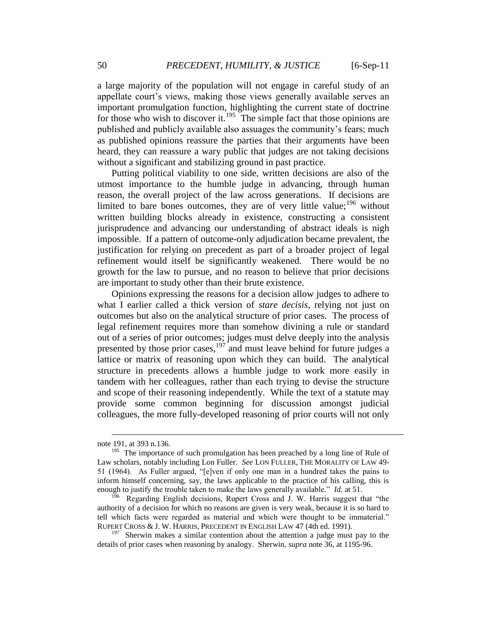a large majority of the population will not engage in careful study of an appellate court's views, making those views generally available serves an important promulgation function, highlighting the current state of doctrine for those who wish to discover it.<sup>195</sup> The simple fact that those opinions are published and publicly available also assuages the community"s fears; much as published opinions reassure the parties that their arguments have been heard, they can reassure a wary public that judges are not taking decisions without a significant and stabilizing ground in past practice.

Putting political viability to one side, written decisions are also of the utmost importance to the humble judge in advancing, through human reason, the overall project of the law across generations. If decisions are limited to bare bones outcomes, they are of very little value;  $196$  without written building blocks already in existence, constructing a consistent jurisprudence and advancing our understanding of abstract ideals is nigh impossible. If a pattern of outcome-only adjudication became prevalent, the justification for relying on precedent as part of a broader project of legal refinement would itself be significantly weakened. There would be no growth for the law to pursue, and no reason to believe that prior decisions are important to study other than their brute existence.

Opinions expressing the reasons for a decision allow judges to adhere to what I earlier called a thick version of *stare decisis*, relying not just on outcomes but also on the analytical structure of prior cases. The process of legal refinement requires more than somehow divining a rule or standard out of a series of prior outcomes; judges must delve deeply into the analysis presented by those prior cases,  $197$  and must leave behind for future judges a lattice or matrix of reasoning upon which they can build. The analytical structure in precedents allows a humble judge to work more easily in tandem with her colleagues, rather than each trying to devise the structure and scope of their reasoning independently. While the text of a statute may provide some common beginning for discussion amongst judicial colleagues, the more fully-developed reasoning of prior courts will not only

note 191, at 393 n.136.

<sup>&</sup>lt;sup>195</sup> The importance of such promulgation has been preached by a long line of Rule of Law scholars, notably including Lon Fuller. *See* LON FULLER, THE MORALITY OF LAW 49- 51 (1964). As Fuller argued, "[e]ven if only one man in a hundred takes the pains to inform himself concerning, say, the laws applicable to the practice of his calling, this is enough to justify the trouble taken to make the laws generally available." *Id.* at 51.

<sup>&</sup>lt;sup>196</sup> Regarding English decisions, Rupert Cross and J. W. Harris suggest that "the authority of a decision for which no reasons are given is very weak, because it is so hard to tell which facts were regarded as material and which were thought to be immaterial." RUPERT CROSS & J. W. HARRIS, PRECEDENT IN ENGLISH LAW 47 (4th ed. 1991).

<sup>197</sup> Sherwin makes a similar contention about the attention a judge must pay to the details of prior cases when reasoning by analogy. Sherwin, *supra* note 36, at 1195-96.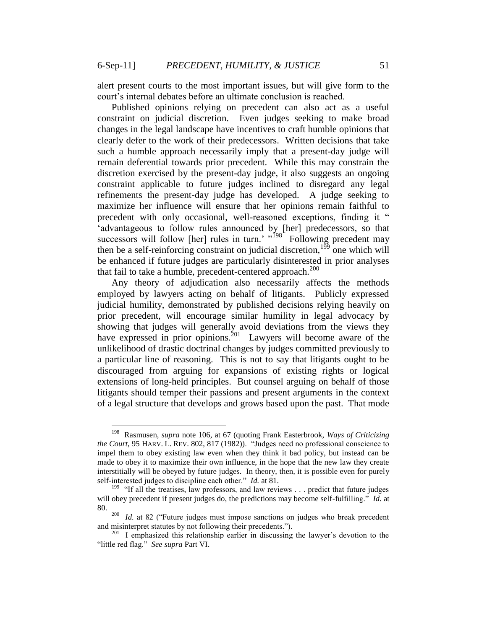alert present courts to the most important issues, but will give form to the court"s internal debates before an ultimate conclusion is reached.

Published opinions relying on precedent can also act as a useful constraint on judicial discretion. Even judges seeking to make broad changes in the legal landscape have incentives to craft humble opinions that clearly defer to the work of their predecessors. Written decisions that take such a humble approach necessarily imply that a present-day judge will remain deferential towards prior precedent. While this may constrain the discretion exercised by the present-day judge, it also suggests an ongoing constraint applicable to future judges inclined to disregard any legal refinements the present-day judge has developed. A judge seeking to maximize her influence will ensure that her opinions remain faithful to precedent with only occasional, well-reasoned exceptions, finding it " "advantageous to follow rules announced by [her] predecessors, so that successors will follow [her] rules in turn.'  $\frac{198}{198}$  Following precedent may then be a self-reinforcing constraint on judicial discretion,<sup>199</sup> one which will be enhanced if future judges are particularly disinterested in prior analyses that fail to take a humble, precedent-centered approach.<sup>200</sup>

Any theory of adjudication also necessarily affects the methods employed by lawyers acting on behalf of litigants. Publicly expressed judicial humility, demonstrated by published decisions relying heavily on prior precedent, will encourage similar humility in legal advocacy by showing that judges will generally avoid deviations from the views they have expressed in prior opinions.<sup>201</sup> Lawyers will become aware of the unlikelihood of drastic doctrinal changes by judges committed previously to a particular line of reasoning. This is not to say that litigants ought to be discouraged from arguing for expansions of existing rights or logical extensions of long-held principles. But counsel arguing on behalf of those litigants should temper their passions and present arguments in the context of a legal structure that develops and grows based upon the past. That mode

<sup>&</sup>lt;sup>198</sup> Rasmusen, *supra* note 106, at 67 (quoting Frank Easterbrook, *Ways of Criticizing the Court*, 95 HARV. L. REV. 802, 817 (1982)). "Judges need no professional conscience to impel them to obey existing law even when they think it bad policy, but instead can be made to obey it to maximize their own influence, in the hope that the new law they create interstitially will be obeyed by future judges. In theory, then, it is possible even for purely self-interested judges to discipline each other." *Id.* at 81.

<sup>&</sup>lt;sup>199</sup> "If all the treatises, law professors, and law reviews . . . predict that future judges will obey precedent if present judges do, the predictions may become self-fulfilling." *Id.* at 80.

<sup>&</sup>lt;sup>200</sup> *Id.* at 82 ("Future judges must impose sanctions on judges who break precedent and misinterpret statutes by not following their precedents.").

<sup>&</sup>lt;sup>201</sup> I emphasized this relationship earlier in discussing the lawyer's devotion to the "little red flag." *See supra* Part VI.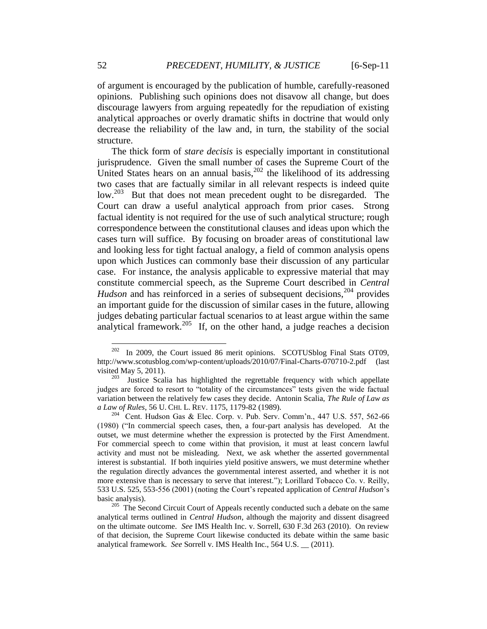of argument is encouraged by the publication of humble, carefully-reasoned opinions. Publishing such opinions does not disavow all change, but does discourage lawyers from arguing repeatedly for the repudiation of existing analytical approaches or overly dramatic shifts in doctrine that would only decrease the reliability of the law and, in turn, the stability of the social structure.

The thick form of *stare decisis* is especially important in constitutional jurisprudence. Given the small number of cases the Supreme Court of the United States hears on an annual basis, $2^{202}$  the likelihood of its addressing two cases that are factually similar in all relevant respects is indeed quite low.<sup>203</sup> But that does not mean precedent ought to be disregarded. The Court can draw a useful analytical approach from prior cases. Strong factual identity is not required for the use of such analytical structure; rough correspondence between the constitutional clauses and ideas upon which the cases turn will suffice. By focusing on broader areas of constitutional law and looking less for tight factual analogy, a field of common analysis opens upon which Justices can commonly base their discussion of any particular case. For instance, the analysis applicable to expressive material that may constitute commercial speech, as the Supreme Court described in *Central Hudson* and has reinforced in a series of subsequent decisions,<sup>204</sup> provides an important guide for the discussion of similar cases in the future, allowing judges debating particular factual scenarios to at least argue within the same analytical framework.<sup>205</sup> If, on the other hand, a judge reaches a decision

<sup>202</sup> In 2009, the Court issued 86 merit opinions. SCOTUSblog Final Stats OT09, http://www.scotusblog.com/wp-content/uploads/2010/07/Final-Charts-070710-2.pdf (last visited May 5, 2011).

<sup>203</sup> Justice Scalia has highlighted the regrettable frequency with which appellate judges are forced to resort to "totality of the circumstances" tests given the wide factual variation between the relatively few cases they decide. Antonin Scalia, *The Rule of Law as a Law of Rules*, 56 U. CHI. L. REV. 1175, 1179-82 (1989).

<sup>&</sup>lt;sup>204</sup> Cent. Hudson Gas & Elec. Corp. v. Pub. Serv. Comm'n., 447 U.S. 557, 562-66 (1980) ("In commercial speech cases, then, a four-part analysis has developed. At the outset, we must determine whether the expression is protected by the First Amendment. For commercial speech to come within that provision, it must at least concern lawful activity and must not be misleading. Next, we ask whether the asserted governmental interest is substantial. If both inquiries yield positive answers, we must determine whether the regulation directly advances the governmental interest asserted, and whether it is not more extensive than is necessary to serve that interest."); Lorillard Tobacco Co. v. Reilly, 533 U.S. 525, 553-556 (2001) (noting the Court"s repeated application of *Central Hudson*"s basic analysis).

<sup>&</sup>lt;sup>205</sup> The Second Circuit Court of Appeals recently conducted such a debate on the same analytical terms outlined in *Central Hudson*, although the majority and dissent disagreed on the ultimate outcome. *See* IMS Health Inc. v. Sorrell, 630 F.3d 263 (2010). On review of that decision, the Supreme Court likewise conducted its debate within the same basic analytical framework. *See* Sorrell v. IMS Health Inc., 564 U.S. \_\_ (2011).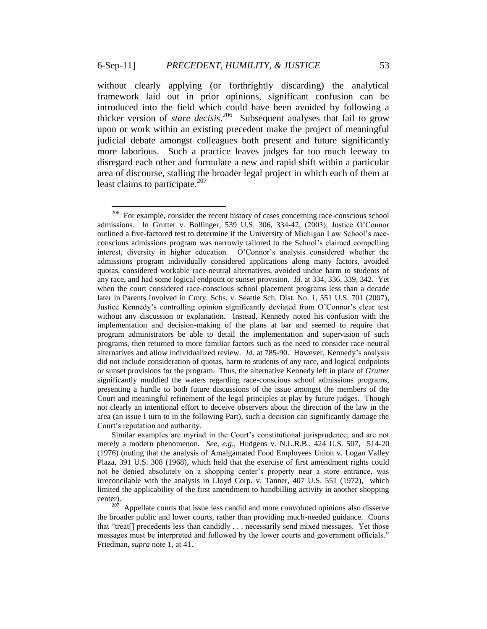without clearly applying (or forthrightly discarding) the analytical framework laid out in prior opinions, significant confusion can be introduced into the field which could have been avoided by following a thicker version of *stare decisis*. 206 Subsequent analyses that fail to grow upon or work within an existing precedent make the project of meaningful judicial debate amongst colleagues both present and future significantly more laborious. Such a practice leaves judges far too much leeway to disregard each other and formulate a new and rapid shift within a particular area of discourse, stalling the broader legal project in which each of them at least claims to participate.<sup>207</sup>

Similar examples are myriad in the Court"s constitutional jurisprudence, and are not merely a modern phenomenon. *See, e.g.*, Hudgens v. N.L.R.B., 424 U.S. 507, 514-20 (1976) (noting that the analysis of Amalgamated Food Employees Union v. Logan Valley Plaza, 391 U.S. 308 (1968), which held that the exercise of first amendment rights could not be denied absolutely on a shopping center"s property near a store entrance, was irreconcilable with the analysis in Lloyd Corp. v. Tanner, 407 U.S. 551 (1972), which limited the applicability of the first amendment to handbilling activity in another shopping center).

 $207$  Appellate courts that issue less candid and more convoluted opinions also disserve the broader public and lower courts, rather than providing much-needed guidance. Courts that "treat[] precedents less than candidly . . . necessarily send mixed messages. Yet those messages must be interpreted and followed by the lower courts and government officials." Friedman, *supra* note 1, at 41.

<sup>&</sup>lt;sup>206</sup> For example, consider the recent history of cases concerning race-conscious school admissions. In Grutter v. Bollinger, 539 U.S. 306, 334-42, (2003), Justice O"Connor outlined a five-factored test to determine if the University of Michigan Law School"s raceconscious admissions program was narrowly tailored to the School"s claimed compelling interest, diversity in higher education. O"Connor"s analysis considered whether the admissions program individually considered applications along many factors, avoided quotas, considered workable race-neutral alternatives, avoided undue harm to students of any race, and had some logical endpoint or sunset provision. *Id.* at 334, 336, 339, 342. Yet when the court considered race-conscious school placement programs less than a decade later in Parents Involved in Cmty. Schs. v. Seattle Sch. Dist. No. 1, 551 U.S. 701 (2007), Justice Kennedy"s controlling opinion significantly deviated from O"Connor"s clear test without any discussion or explanation. Instead, Kennedy noted his confusion with the implementation and decision-making of the plans at bar and seemed to require that program administrators be able to detail the implementation and supervision of such programs, then returned to more familiar factors such as the need to consider race-neutral alternatives and allow individualized review. *Id.* at 785-90. However, Kennedy"s analysis did not include consideration of quotas, harm to students of any race, and logical endpoints or sunset provisions for the program. Thus, the alternative Kennedy left in place of *Grutter* significantly muddied the waters regarding race-conscious school admissions programs, presenting a hurdle to both future discussions of the issue amongst the members of the Court and meaningful refinement of the legal principles at play by future judges. Though not clearly an intentional effort to deceive observers about the direction of the law in the area (an issue I turn to in the following Part), such a decision can significantly damage the Court"s reputation and authority.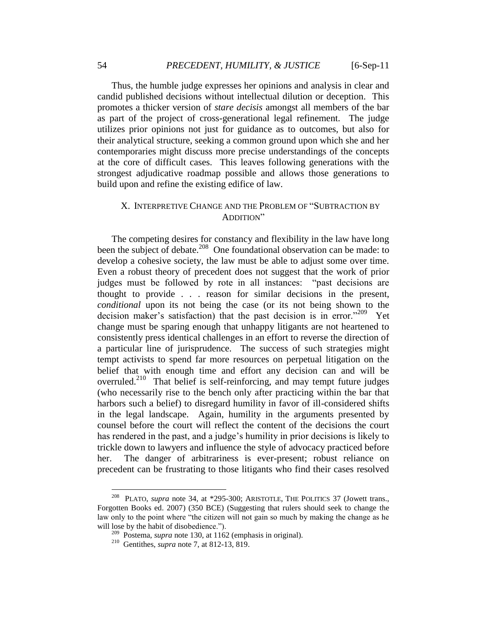Thus, the humble judge expresses her opinions and analysis in clear and candid published decisions without intellectual dilution or deception. This promotes a thicker version of *stare decisis* amongst all members of the bar as part of the project of cross-generational legal refinement. The judge utilizes prior opinions not just for guidance as to outcomes, but also for their analytical structure, seeking a common ground upon which she and her contemporaries might discuss more precise understandings of the concepts at the core of difficult cases. This leaves following generations with the strongest adjudicative roadmap possible and allows those generations to build upon and refine the existing edifice of law.

## X. INTERPRETIVE CHANGE AND THE PROBLEM OF "SUBTRACTION BY ADDITION"

The competing desires for constancy and flexibility in the law have long been the subject of debate.<sup>208</sup> One foundational observation can be made: to develop a cohesive society, the law must be able to adjust some over time. Even a robust theory of precedent does not suggest that the work of prior judges must be followed by rote in all instances: "past decisions are thought to provide . . . reason for similar decisions in the present, *conditional* upon its not being the case (or its not being shown to the decision maker's satisfaction) that the past decision is in error."<sup>209</sup> Yet change must be sparing enough that unhappy litigants are not heartened to consistently press identical challenges in an effort to reverse the direction of a particular line of jurisprudence. The success of such strategies might tempt activists to spend far more resources on perpetual litigation on the belief that with enough time and effort any decision can and will be overruled.<sup>210</sup> That belief is self-reinforcing, and may tempt future judges (who necessarily rise to the bench only after practicing within the bar that harbors such a belief) to disregard humility in favor of ill-considered shifts in the legal landscape. Again, humility in the arguments presented by counsel before the court will reflect the content of the decisions the court has rendered in the past, and a judge"s humility in prior decisions is likely to trickle down to lawyers and influence the style of advocacy practiced before her. The danger of arbitrariness is ever-present; robust reliance on precedent can be frustrating to those litigants who find their cases resolved

<sup>&</sup>lt;sup>208</sup> PLATO, *supra* note 34, at \*295-300; ARISTOTLE, THE POLITICS 37 (Jowett trans., Forgotten Books ed. 2007) (350 BCE) (Suggesting that rulers should seek to change the law only to the point where "the citizen will not gain so much by making the change as he will lose by the habit of disobedience.").

<sup>209</sup> Postema, *supra* note 130, at 1162 (emphasis in original).

<sup>210</sup> Gentithes, *supra* note 7, at 812-13, 819.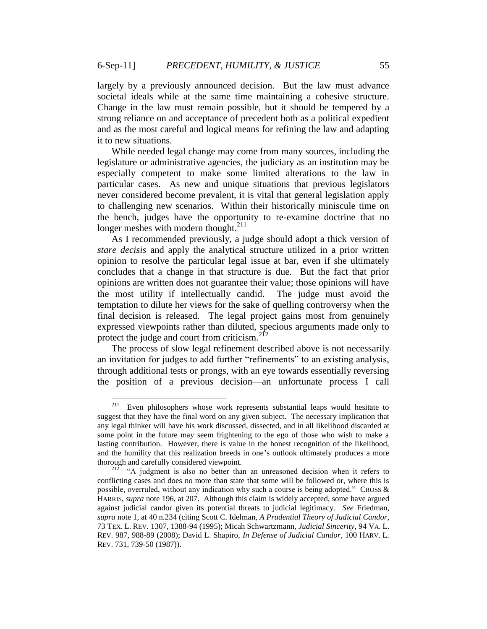largely by a previously announced decision. But the law must advance societal ideals while at the same time maintaining a cohesive structure. Change in the law must remain possible, but it should be tempered by a strong reliance on and acceptance of precedent both as a political expedient and as the most careful and logical means for refining the law and adapting it to new situations.

While needed legal change may come from many sources, including the legislature or administrative agencies, the judiciary as an institution may be especially competent to make some limited alterations to the law in particular cases. As new and unique situations that previous legislators never considered become prevalent, it is vital that general legislation apply to challenging new scenarios. Within their historically miniscule time on the bench, judges have the opportunity to re-examine doctrine that no longer meshes with modern thought. $^{211}$ 

As I recommended previously, a judge should adopt a thick version of *stare decisis* and apply the analytical structure utilized in a prior written opinion to resolve the particular legal issue at bar, even if she ultimately concludes that a change in that structure is due. But the fact that prior opinions are written does not guarantee their value; those opinions will have the most utility if intellectually candid. The judge must avoid the temptation to dilute her views for the sake of quelling controversy when the final decision is released. The legal project gains most from genuinely expressed viewpoints rather than diluted, specious arguments made only to protect the judge and court from criticism.<sup>212</sup>

The process of slow legal refinement described above is not necessarily an invitation for judges to add further "refinements" to an existing analysis, through additional tests or prongs, with an eye towards essentially reversing the position of a previous decision—an unfortunate process I call

 $\frac{1}{211}$  Even philosophers whose work represents substantial leaps would hesitate to suggest that they have the final word on any given subject. The necessary implication that any legal thinker will have his work discussed, dissected, and in all likelihood discarded at some point in the future may seem frightening to the ego of those who wish to make a lasting contribution. However, there is value in the honest recognition of the likelihood, and the humility that this realization breeds in one"s outlook ultimately produces a more thorough and carefully considered viewpoint.

<sup>&</sup>lt;sup>212</sup> "A judgment is also no better than an unreasoned decision when it refers to conflicting cases and does no more than state that some will be followed or, where this is possible, overruled, without any indication why such a course is being adopted." CROSS & HARRIS, *supra* note 196, at 207. Although this claim is widely accepted, some have argued against judicial candor given its potential threats to judicial legitimacy. *See* Friedman, *supra* note 1, at 40 n.234 (citing Scott C. Idelman, *A Prudential Theory of Judicial Candor*, 73 TEX. L. REV. 1307, 1388-94 (1995); Micah Schwartzmann, *Judicial Sincerity*, 94 VA. L. REV. 987, 988-89 (2008); David L. Shapiro, *In Defense of Judicial Candor*, 100 HARV. L. REV. 731, 739-50 (1987)).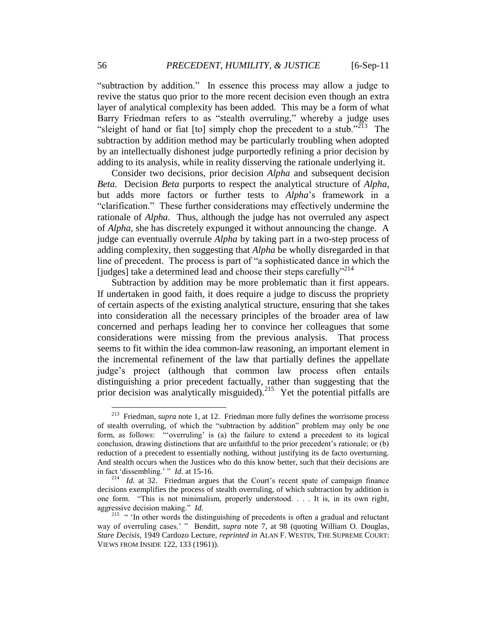"subtraction by addition." In essence this process may allow a judge to revive the status quo prior to the more recent decision even though an extra layer of analytical complexity has been added. This may be a form of what Barry Friedman refers to as "stealth overruling," whereby a judge uses "sleight of hand or fiat  $[$ to $]$  simply chop the precedent to a stub." $^{213}$  The subtraction by addition method may be particularly troubling when adopted by an intellectually dishonest judge purportedly refining a prior decision by adding to its analysis, while in reality disserving the rationale underlying it.

Consider two decisions, prior decision *Alpha* and subsequent decision *Beta*. Decision *Beta* purports to respect the analytical structure of *Alpha*, but adds more factors or further tests to *Alpha*"s framework in a "clarification." These further considerations may effectively undermine the rationale of *Alpha*. Thus, although the judge has not overruled any aspect of *Alpha*, she has discretely expunged it without announcing the change. A judge can eventually overrule *Alpha* by taking part in a two-step process of adding complexity, then suggesting that *Alpha* be wholly disregarded in that line of precedent. The process is part of "a sophisticated dance in which the [judges] take a determined lead and choose their steps carefully"<sup>214</sup>

Subtraction by addition may be more problematic than it first appears. If undertaken in good faith, it does require a judge to discuss the propriety of certain aspects of the existing analytical structure, ensuring that she takes into consideration all the necessary principles of the broader area of law concerned and perhaps leading her to convince her colleagues that some considerations were missing from the previous analysis. That process seems to fit within the idea common-law reasoning, an important element in the incremental refinement of the law that partially defines the appellate judge"s project (although that common law process often entails distinguishing a prior precedent factually, rather than suggesting that the prior decision was analytically misguided).<sup>215</sup> Yet the potential pitfalls are

<sup>&</sup>lt;sup>213</sup> Friedman, *supra* note 1, at 12. Friedman more fully defines the worrisome process of stealth overruling, of which the "subtraction by addition" problem may only be one form, as follows: ""overruling" is (a) the failure to extend a precedent to its logical conclusion, drawing distinctions that are unfaithful to the prior precedent"s rationale; or (b) reduction of a precedent to essentially nothing, without justifying its de facto overturning. And stealth occurs when the Justices who do this know better, such that their decisions are in fact "dissembling." " *Id.* at 15-16.

 $214$  *Id.* at 32. Friedman argues that the Court's recent spate of campaign finance decisions exemplifies the process of stealth overruling, of which subtraction by addition is one form. "This is not minimalism, properly understood. . . . It is, in its own right, aggressive decision making." *Id.*

<sup>&</sup>lt;sup>215</sup> " 'In other words the distinguishing of precedents is often a gradual and reluctant way of overruling cases." " Benditt, *supra* note 7, at 98 (quoting William O. Douglas, *Stare Decisis*, 1949 Cardozo Lecture, *reprinted in* ALAN F. WESTIN, THE SUPREME COURT: VIEWS FROM INSIDE 122, 133 (1961)).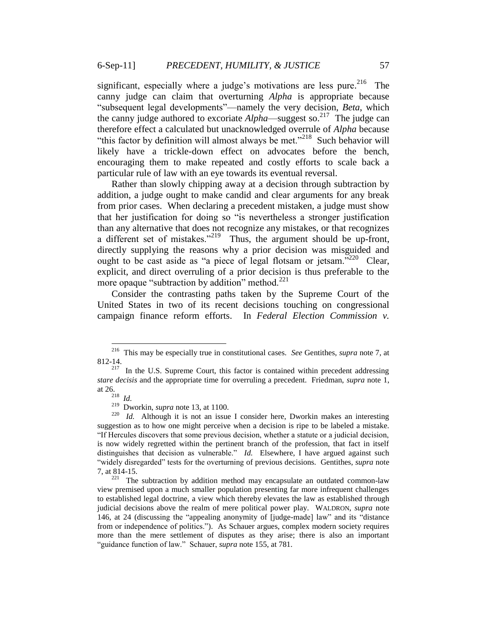significant, especially where a judge's motivations are less pure.<sup>216</sup> The canny judge can claim that overturning *Alpha* is appropriate because "subsequent legal developments"—namely the very decision, *Beta*, which the canny judge authored to excoriate  $Alpha$ —suggest so.<sup>217</sup> The judge can therefore effect a calculated but unacknowledged overrule of *Alpha* because "this factor by definition will almost always be met."<sup>218</sup> Such behavior will likely have a trickle-down effect on advocates before the bench, encouraging them to make repeated and costly efforts to scale back a particular rule of law with an eye towards its eventual reversal.

Rather than slowly chipping away at a decision through subtraction by addition, a judge ought to make candid and clear arguments for any break from prior cases. When declaring a precedent mistaken, a judge must show that her justification for doing so "is nevertheless a stronger justification than any alternative that does not recognize any mistakes, or that recognizes a different set of mistakes."<sup>219</sup> Thus, the argument should be up-front, directly supplying the reasons why a prior decision was misguided and ought to be cast aside as "a piece of legal flotsam or jetsam."<sup>220</sup> Clear, explicit, and direct overruling of a prior decision is thus preferable to the more opaque "subtraction by addition" method. $^{221}$ 

Consider the contrasting paths taken by the Supreme Court of the United States in two of its recent decisions touching on congressional campaign finance reform efforts. In *Federal Election Commission v.* 

 216 This may be especially true in constitutional cases. *See* Gentithes, *supra* note 7, at 812-14.

 $2^{17}$  In the U.S. Supreme Court, this factor is contained within precedent addressing *stare decisis* and the appropriate time for overruling a precedent. Friedman, *supra* note 1, at 26.<br> $\frac{218}{218}$  *Id.* 

<sup>219</sup> Dworkin, *supra* note 13, at 1100.

 $220$  *Id.* Although it is not an issue I consider here, Dworkin makes an interesting suggestion as to how one might perceive when a decision is ripe to be labeled a mistake. "If Hercules discovers that some previous decision, whether a statute or a judicial decision, is now widely regretted within the pertinent branch of the profession, that fact in itself distinguishes that decision as vulnerable." *Id.* Elsewhere, I have argued against such "widely disregarded" tests for the overturning of previous decisions. Gentithes, *supra* note 7, at 814-15.

 $221$  The subtraction by addition method may encapsulate an outdated common-law view premised upon a much smaller population presenting far more infrequent challenges to established legal doctrine, a view which thereby elevates the law as established through judicial decisions above the realm of mere political power play. WALDRON, *supra* note 146, at 24 (discussing the "appealing anonymity of [judge-made] law" and its "distance from or independence of politics."). As Schauer argues, complex modern society requires more than the mere settlement of disputes as they arise; there is also an important "guidance function of law." Schauer, *supra* note 155, at 781.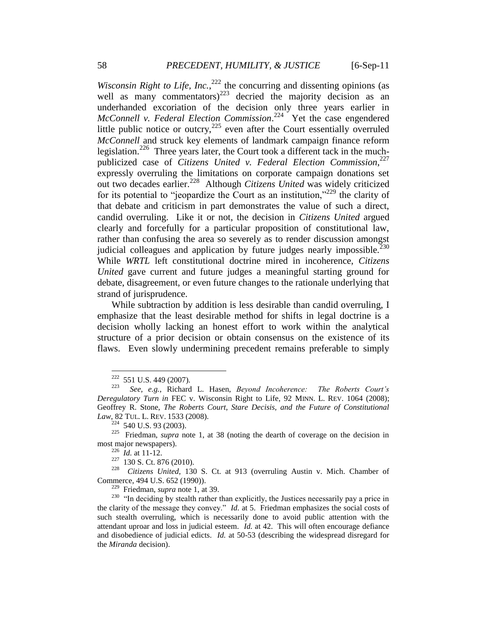*Wisconsin Right to Life, Inc.*,  $^{222}$  the concurring and dissenting opinions (as well as many commentators)<sup>223</sup> decried the majority decision as an underhanded excoriation of the decision only three years earlier in *McConnell v. Federal Election Commission*. 224 Yet the case engendered little public notice or outcry, $^{225}$  even after the Court essentially overruled *McConnell* and struck key elements of landmark campaign finance reform legislation.<sup>226</sup> Three years later, the Court took a different tack in the muchpublicized case of *Citizens United v. Federal Election Commission*, 227 expressly overruling the limitations on corporate campaign donations set out two decades earlier.<sup>228</sup> Although *Citizens United* was widely criticized for its potential to "jeopardize the Court as an institution,"<sup>229</sup> the clarity of that debate and criticism in part demonstrates the value of such a direct, candid overruling. Like it or not, the decision in *Citizens United* argued clearly and forcefully for a particular proposition of constitutional law, rather than confusing the area so severely as to render discussion amongst judicial colleagues and application by future judges nearly impossible. $230$ While *WRTL* left constitutional doctrine mired in incoherence, *Citizens United* gave current and future judges a meaningful starting ground for debate, disagreement, or even future changes to the rationale underlying that strand of jurisprudence.

While subtraction by addition is less desirable than candid overruling, I emphasize that the least desirable method for shifts in legal doctrine is a decision wholly lacking an honest effort to work within the analytical structure of a prior decision or obtain consensus on the existence of its flaws. Even slowly undermining precedent remains preferable to simply

229 Friedman, *supra* note 1, at 39.

 222 551 U.S. 449 (2007).

<sup>223</sup> *See, e.g.*, Richard L. Hasen, *Beyond Incoherence: The Roberts Court's Deregulatory Turn in* FEC v. Wisconsin Right to Life, 92 MINN. L. REV. 1064 (2008); Geoffrey R. Stone, *The Roberts Court, Stare Decisis, and the Future of Constitutional Law*, 82 TUL. L. REV. 1533 (2008).

 $224$  540 U.S. 93 (2003).

 $225$  Friedman, *supra* note 1, at 38 (noting the dearth of coverage on the decision in most major newspapers).

 $^{226}$  *Id.* at 11-12.

 $227$  130 S. Ct. 876 (2010).

<sup>228</sup> *Citizens United*, 130 S. Ct. at 913 (overruling Austin v. Mich. Chamber of Commerce, 494 U.S. 652 (1990)).

 $^{230}$  "In deciding by stealth rather than explicitly, the Justices necessarily pay a price in the clarity of the message they convey." *Id.* at 5. Friedman emphasizes the social costs of such stealth overruling, which is necessarily done to avoid public attention with the attendant uproar and loss in judicial esteem. *Id.* at 42. This will often encourage defiance and disobedience of judicial edicts. *Id.* at 50-53 (describing the widespread disregard for the *Miranda* decision).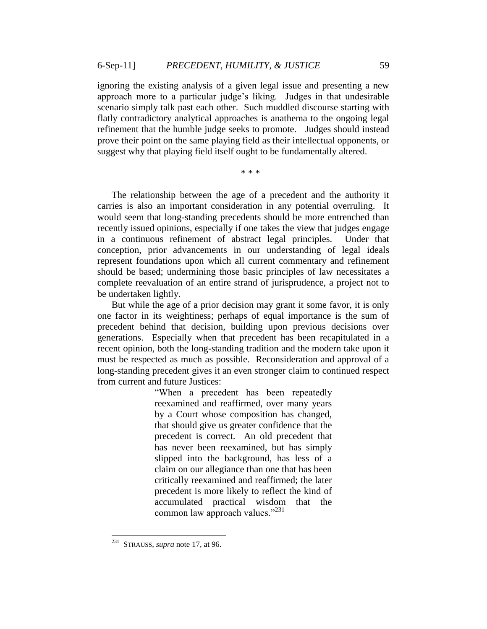ignoring the existing analysis of a given legal issue and presenting a new approach more to a particular judge"s liking. Judges in that undesirable scenario simply talk past each other. Such muddled discourse starting with flatly contradictory analytical approaches is anathema to the ongoing legal refinement that the humble judge seeks to promote. Judges should instead prove their point on the same playing field as their intellectual opponents, or suggest why that playing field itself ought to be fundamentally altered.

\* \* \*

The relationship between the age of a precedent and the authority it carries is also an important consideration in any potential overruling. It would seem that long-standing precedents should be more entrenched than recently issued opinions, especially if one takes the view that judges engage in a continuous refinement of abstract legal principles. Under that conception, prior advancements in our understanding of legal ideals represent foundations upon which all current commentary and refinement should be based; undermining those basic principles of law necessitates a complete reevaluation of an entire strand of jurisprudence, a project not to be undertaken lightly.

But while the age of a prior decision may grant it some favor, it is only one factor in its weightiness; perhaps of equal importance is the sum of precedent behind that decision, building upon previous decisions over generations. Especially when that precedent has been recapitulated in a recent opinion, both the long-standing tradition and the modern take upon it must be respected as much as possible. Reconsideration and approval of a long-standing precedent gives it an even stronger claim to continued respect from current and future Justices:

> "When a precedent has been repeatedly reexamined and reaffirmed, over many years by a Court whose composition has changed, that should give us greater confidence that the precedent is correct. An old precedent that has never been reexamined, but has simply slipped into the background, has less of a claim on our allegiance than one that has been critically reexamined and reaffirmed; the later precedent is more likely to reflect the kind of accumulated practical wisdom that the common law approach values." $^{231}$

 $\frac{1}{231}$ STRAUSS, *supra* note 17, at 96.